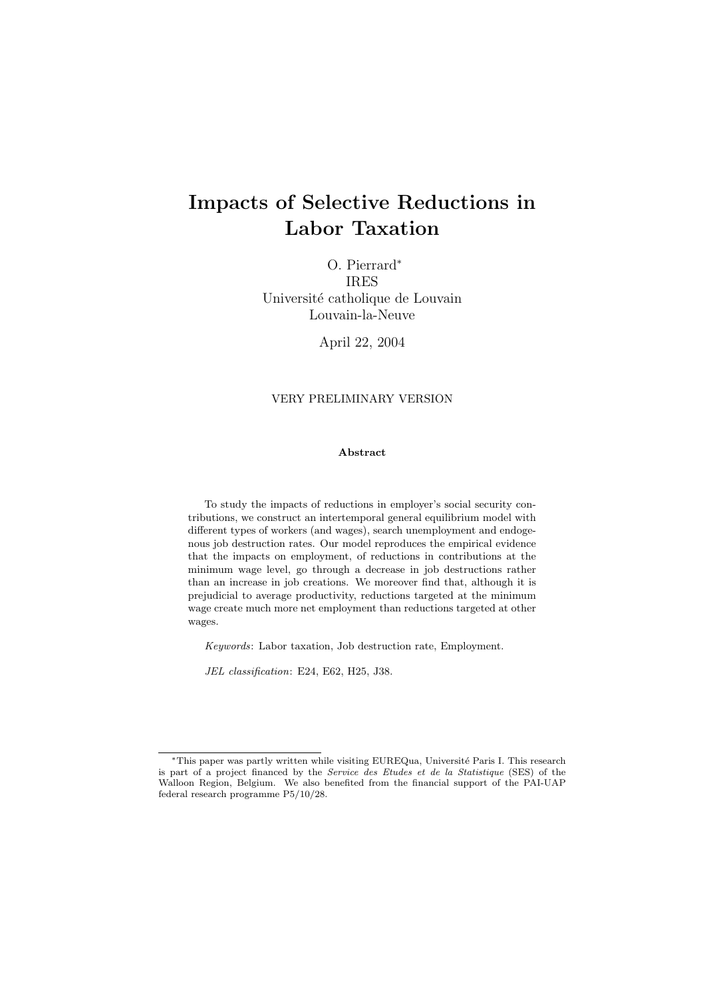# Impacts of Selective Reductions in Labor Taxation

O. Pierrard<sup>∗</sup> IRES Université catholique de Louvain Louvain-la-Neuve

April 22, 2004

#### VERY PRELIMINARY VERSION

#### Abstract

To study the impacts of reductions in employer's social security contributions, we construct an intertemporal general equilibrium model with different types of workers (and wages), search unemployment and endogenous job destruction rates. Our model reproduces the empirical evidence that the impacts on employment, of reductions in contributions at the minimum wage level, go through a decrease in job destructions rather than an increase in job creations. We moreover find that, although it is prejudicial to average productivity, reductions targeted at the minimum wage create much more net employment than reductions targeted at other wages.

Keywords: Labor taxation, Job destruction rate, Employment.

JEL classification: E24, E62, H25, J38.

<sup>∗</sup>This paper was partly written while visiting EUREQua, Universit´e Paris I. This research is part of a project financed by the Service des Etudes et de la Statistique (SES) of the Walloon Region, Belgium. We also benefited from the financial support of the PAI-UAP federal research programme P5/10/28.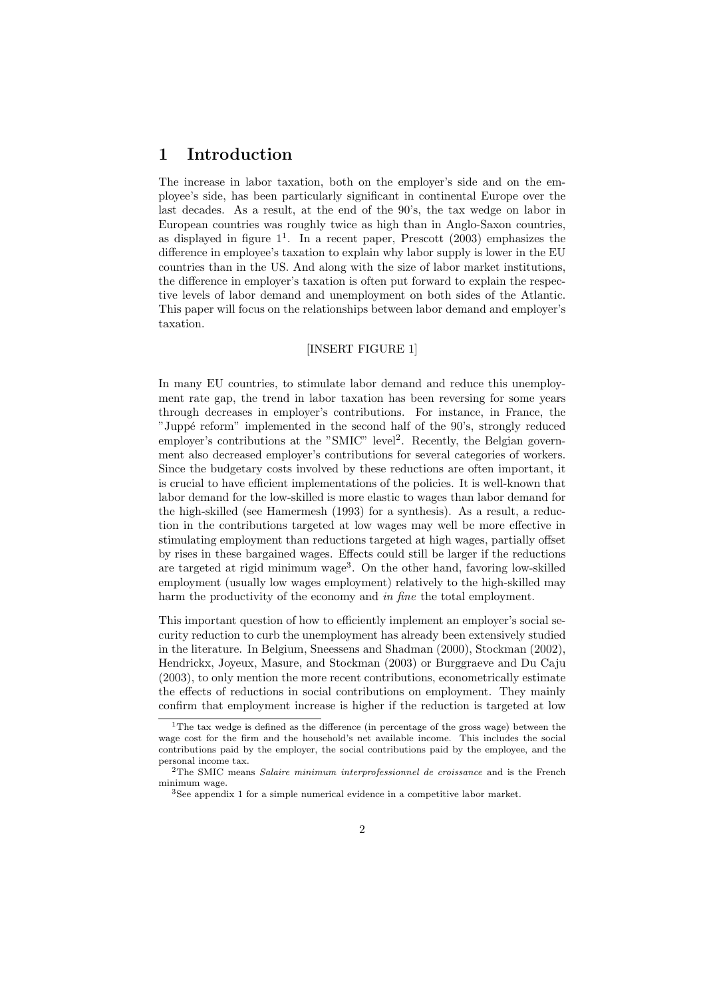## 1 Introduction

The increase in labor taxation, both on the employer's side and on the employee's side, has been particularly significant in continental Europe over the last decades. As a result, at the end of the 90's, the tax wedge on labor in European countries was roughly twice as high than in Anglo-Saxon countries, as displayed in figure  $1^1$ . In a recent paper, Prescott (2003) emphasizes the difference in employee's taxation to explain why labor supply is lower in the EU countries than in the US. And along with the size of labor market institutions, the difference in employer's taxation is often put forward to explain the respective levels of labor demand and unemployment on both sides of the Atlantic. This paper will focus on the relationships between labor demand and employer's taxation.

#### [INSERT FIGURE 1]

In many EU countries, to stimulate labor demand and reduce this unemployment rate gap, the trend in labor taxation has been reversing for some years through decreases in employer's contributions. For instance, in France, the "Juppé reform" implemented in the second half of the 90's, strongly reduced employer's contributions at the "SMIC" level<sup>2</sup>. Recently, the Belgian government also decreased employer's contributions for several categories of workers. Since the budgetary costs involved by these reductions are often important, it is crucial to have efficient implementations of the policies. It is well-known that labor demand for the low-skilled is more elastic to wages than labor demand for the high-skilled (see Hamermesh (1993) for a synthesis). As a result, a reduction in the contributions targeted at low wages may well be more effective in stimulating employment than reductions targeted at high wages, partially offset by rises in these bargained wages. Effects could still be larger if the reductions are targeted at rigid minimum wage<sup>3</sup>. On the other hand, favoring low-skilled employment (usually low wages employment) relatively to the high-skilled may harm the productivity of the economy and in fine the total employment.

This important question of how to efficiently implement an employer's social security reduction to curb the unemployment has already been extensively studied in the literature. In Belgium, Sneessens and Shadman (2000), Stockman (2002), Hendrickx, Joyeux, Masure, and Stockman (2003) or Burggraeve and Du Caju (2003), to only mention the more recent contributions, econometrically estimate the effects of reductions in social contributions on employment. They mainly confirm that employment increase is higher if the reduction is targeted at low

<sup>&</sup>lt;sup>1</sup>The tax wedge is defined as the difference (in percentage of the gross wage) between the wage cost for the firm and the household's net available income. This includes the social contributions paid by the employer, the social contributions paid by the employee, and the personal income tax.

<sup>&</sup>lt;sup>2</sup>The SMIC means Salaire minimum interprofessionnel de croissance and is the French minimum wage.

<sup>3</sup>See appendix 1 for a simple numerical evidence in a competitive labor market.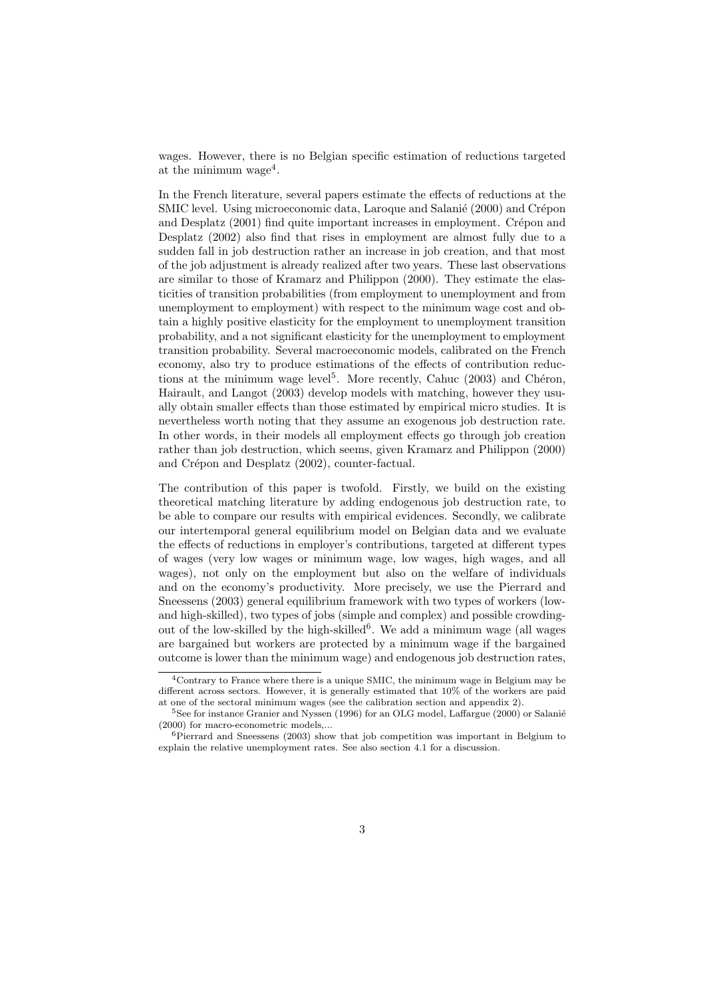wages. However, there is no Belgian specific estimation of reductions targeted at the minimum wage<sup>4</sup>.

In the French literature, several papers estimate the effects of reductions at the SMIC level. Using microeconomic data, Laroque and Salanié (2000) and Crépon and Desplatz  $(2001)$  find quite important increases in employment. Crépon and Desplatz (2002) also find that rises in employment are almost fully due to a sudden fall in job destruction rather an increase in job creation, and that most of the job adjustment is already realized after two years. These last observations are similar to those of Kramarz and Philippon (2000). They estimate the elasticities of transition probabilities (from employment to unemployment and from unemployment to employment) with respect to the minimum wage cost and obtain a highly positive elasticity for the employment to unemployment transition probability, and a not significant elasticity for the unemployment to employment transition probability. Several macroeconomic models, calibrated on the French economy, also try to produce estimations of the effects of contribution reductions at the minimum wage level<sup>5</sup>. More recently, Cahuc  $(2003)$  and Chéron, Hairault, and Langot (2003) develop models with matching, however they usually obtain smaller effects than those estimated by empirical micro studies. It is nevertheless worth noting that they assume an exogenous job destruction rate. In other words, in their models all employment effects go through job creation rather than job destruction, which seems, given Kramarz and Philippon (2000) and Crépon and Desplatz (2002), counter-factual.

The contribution of this paper is twofold. Firstly, we build on the existing theoretical matching literature by adding endogenous job destruction rate, to be able to compare our results with empirical evidences. Secondly, we calibrate our intertemporal general equilibrium model on Belgian data and we evaluate the effects of reductions in employer's contributions, targeted at different types of wages (very low wages or minimum wage, low wages, high wages, and all wages), not only on the employment but also on the welfare of individuals and on the economy's productivity. More precisely, we use the Pierrard and Sneessens (2003) general equilibrium framework with two types of workers (lowand high-skilled), two types of jobs (simple and complex) and possible crowdingout of the low-skilled by the high-skilled<sup>6</sup>. We add a minimum wage (all wages are bargained but workers are protected by a minimum wage if the bargained outcome is lower than the minimum wage) and endogenous job destruction rates,

<sup>4</sup>Contrary to France where there is a unique SMIC, the minimum wage in Belgium may be different across sectors. However, it is generally estimated that 10% of the workers are paid at one of the sectoral minimum wages (see the calibration section and appendix 2).

 $5$ See for instance Granier and Nyssen (1996) for an OLG model, Laffargue (2000) or Salanié (2000) for macro-econometric models,...

<sup>6</sup>Pierrard and Sneessens (2003) show that job competition was important in Belgium to explain the relative unemployment rates. See also section 4.1 for a discussion.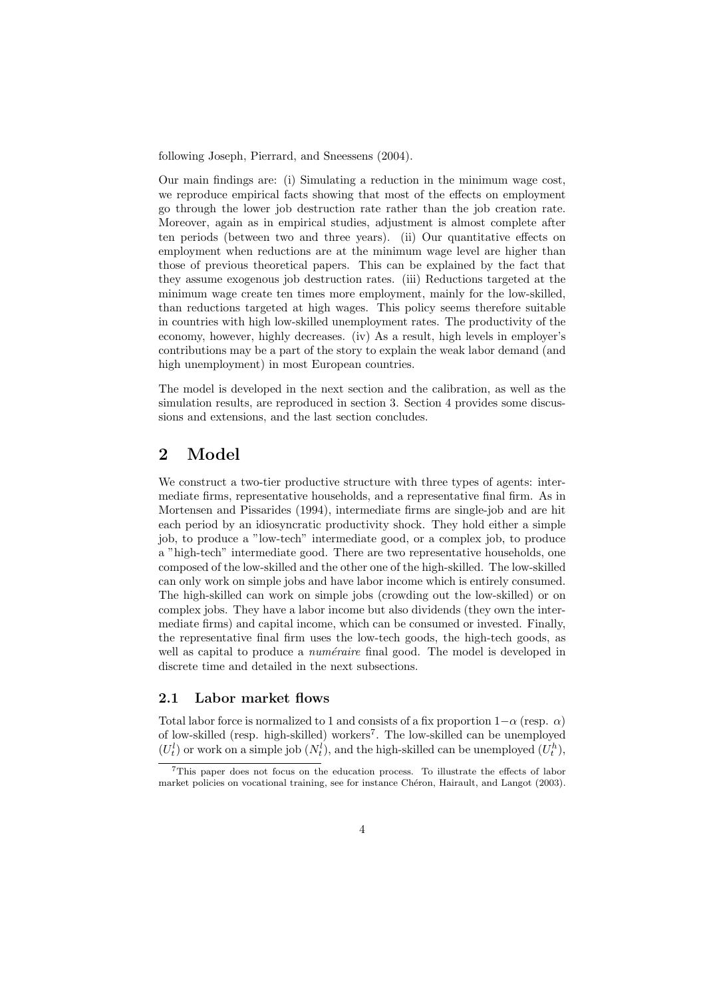following Joseph, Pierrard, and Sneessens (2004).

Our main findings are: (i) Simulating a reduction in the minimum wage cost, we reproduce empirical facts showing that most of the effects on employment go through the lower job destruction rate rather than the job creation rate. Moreover, again as in empirical studies, adjustment is almost complete after ten periods (between two and three years). (ii) Our quantitative effects on employment when reductions are at the minimum wage level are higher than those of previous theoretical papers. This can be explained by the fact that they assume exogenous job destruction rates. (iii) Reductions targeted at the minimum wage create ten times more employment, mainly for the low-skilled, than reductions targeted at high wages. This policy seems therefore suitable in countries with high low-skilled unemployment rates. The productivity of the economy, however, highly decreases. (iv) As a result, high levels in employer's contributions may be a part of the story to explain the weak labor demand (and high unemployment) in most European countries.

The model is developed in the next section and the calibration, as well as the simulation results, are reproduced in section 3. Section 4 provides some discussions and extensions, and the last section concludes.

## 2 Model

We construct a two-tier productive structure with three types of agents: intermediate firms, representative households, and a representative final firm. As in Mortensen and Pissarides (1994), intermediate firms are single-job and are hit each period by an idiosyncratic productivity shock. They hold either a simple job, to produce a "low-tech" intermediate good, or a complex job, to produce a "high-tech" intermediate good. There are two representative households, one composed of the low-skilled and the other one of the high-skilled. The low-skilled can only work on simple jobs and have labor income which is entirely consumed. The high-skilled can work on simple jobs (crowding out the low-skilled) or on complex jobs. They have a labor income but also dividends (they own the intermediate firms) and capital income, which can be consumed or invested. Finally, the representative final firm uses the low-tech goods, the high-tech goods, as well as capital to produce a *numéraire* final good. The model is developed in discrete time and detailed in the next subsections.

#### 2.1 Labor market flows

Total labor force is normalized to 1 and consists of a fix proportion  $1-\alpha$  (resp.  $\alpha$ ) of low-skilled (resp. high-skilled) workers<sup>7</sup> . The low-skilled can be unemployed  $(U_t^l)$  or work on a simple job  $(N_t^l)$ , and the high-skilled can be unemployed  $(U_t^h)$ ,

<sup>7</sup>This paper does not focus on the education process. To illustrate the effects of labor market policies on vocational training, see for instance Chéron, Hairault, and Langot (2003).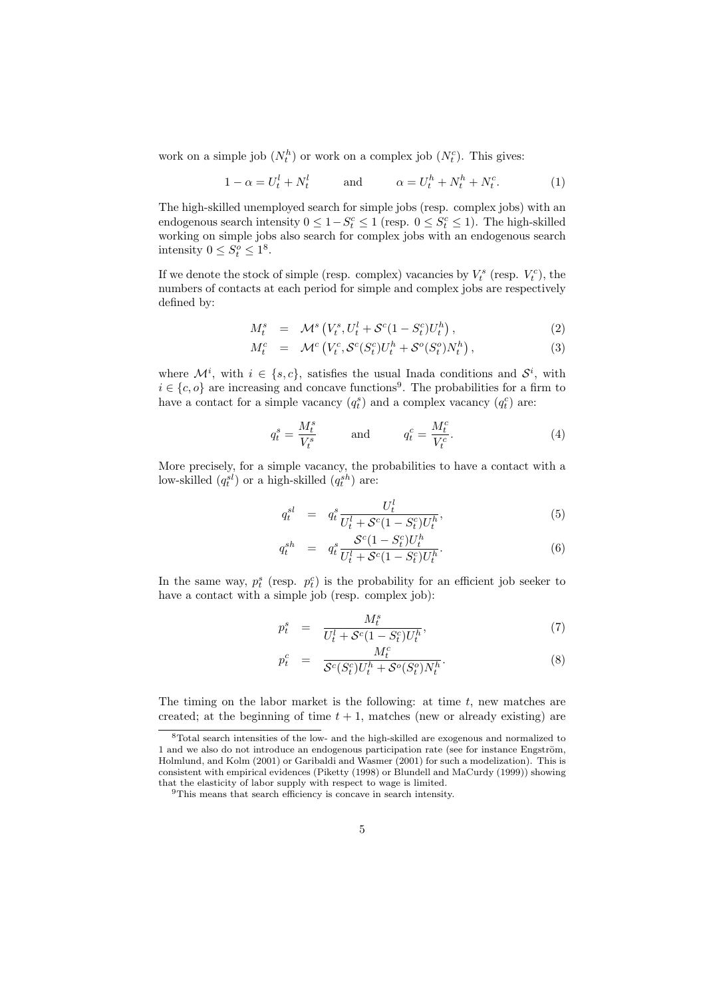work on a simple job  $(N_t^h)$  or work on a complex job  $(N_t^c)$ . This gives:

$$
1 - \alpha = U_t^l + N_t^l \qquad \text{and} \qquad \alpha = U_t^h + N_t^h + N_t^c. \tag{1}
$$

The high-skilled unemployed search for simple jobs (resp. complex jobs) with an endogenous search intensity  $0 \leq 1 - S_t^c \leq 1$  (resp.  $0 \leq S_t^c \leq 1$ ). The high-skilled working on simple jobs also search for complex jobs with an endogenous search intensity  $0 \leq S_t^o \leq 1^8$ .

If we denote the stock of simple (resp. complex) vacancies by  $V_t^s$  (resp.  $V_t^c$ ), the numbers of contacts at each period for simple and complex jobs are respectively defined by:

$$
M_t^s = \mathcal{M}^s \left( V_t^s, U_t^l + \mathcal{S}^c (1 - S_t^c) U_t^h \right), \tag{2}
$$

$$
M_t^c = \mathcal{M}^c \left( V_t^c, \mathcal{S}^c(S_t^c) U_t^h + \mathcal{S}^o(S_t^o) N_t^h \right), \tag{3}
$$

where  $\mathcal{M}^i$ , with  $i \in \{s, c\}$ , satisfies the usual Inada conditions and  $\mathcal{S}^i$ , with  $i \in \{c, o\}$  are increasing and concave functions<sup>9</sup>. The probabilities for a firm to have a contact for a simple vacancy  $(q_t^s)$  and a complex vacancy  $(q_t^c)$  are:

$$
q_t^s = \frac{M_t^s}{V_t^s} \quad \text{and} \quad q_t^c = \frac{M_t^c}{V_t^c}.\tag{4}
$$

More precisely, for a simple vacancy, the probabilities to have a contact with a low-skilled  $(q_t^{sl})$  or a high-skilled  $(q_t^{sh})$  are:

$$
q_t^{sl} = q_t^s \frac{U_t^l}{U_t^l + \mathcal{S}^c (1 - S_t^c) U_t^h},
$$
\n(5)

$$
q_t^{sh} = q_t^s \frac{S^c (1 - S_t^c) U_t^h}{U_t^l + S^c (1 - S_t^c) U_t^h}.
$$
\n(6)

In the same way,  $p_t^s$  (resp.  $p_t^c$ ) is the probability for an efficient job seeker to have a contact with a simple job (resp. complex job):

$$
p_t^s = \frac{M_t^s}{U_t^l + \mathcal{S}^c (1 - S_t^c) U_t^h},\tag{7}
$$

$$
p_t^c = \frac{M_t^c}{\mathcal{S}^c(S_t^c)U_t^h + \mathcal{S}^o(S_t^o)N_t^h}.\tag{8}
$$

The timing on the labor market is the following: at time  $t$ , new matches are created; at the beginning of time  $t + 1$ , matches (new or already existing) are

<sup>8</sup>Total search intensities of the low- and the high-skilled are exogenous and normalized to 1 and we also do not introduce an endogenous participation rate (see for instance Engström, Holmlund, and Kolm (2001) or Garibaldi and Wasmer (2001) for such a modelization). This is consistent with empirical evidences (Piketty (1998) or Blundell and MaCurdy (1999)) showing that the elasticity of labor supply with respect to wage is limited.

<sup>9</sup>This means that search efficiency is concave in search intensity.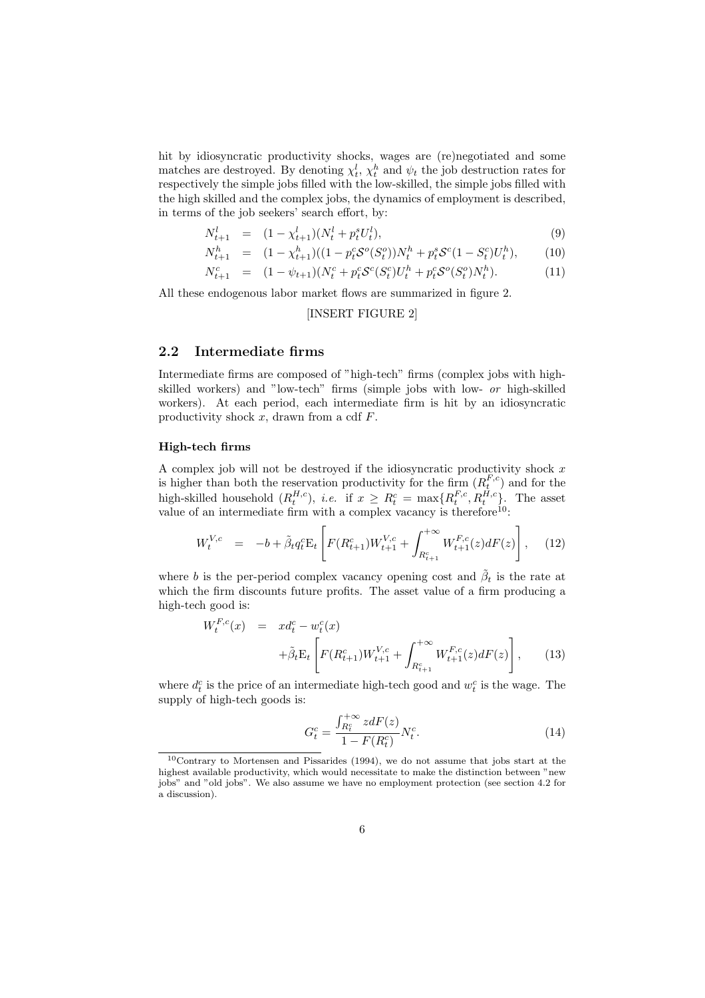hit by idiosyncratic productivity shocks, wages are (re)negotiated and some matches are destroyed. By denoting  $\chi_t^l$ ,  $\chi_t^h$  and  $\psi_t$  the job destruction rates for respectively the simple jobs filled with the low-skilled, the simple jobs filled with the high skilled and the complex jobs, the dynamics of employment is described, in terms of the job seekers' search effort, by:

$$
N_{t+1}^l = (1 - \chi_{t+1}^l)(N_t^l + p_t^s U_t^l), \tag{9}
$$

$$
N_{t+1}^h = (1 - \chi_{t+1}^h)((1 - p_t^c \mathcal{S}^o(S_t^o))N_t^h + p_t^s \mathcal{S}^c(1 - S_t^c)U_t^h), \tag{10}
$$

$$
N_{t+1}^c = (1 - \psi_{t+1})(N_t^c + p_t^c \mathcal{S}^c(S_t^c)U_t^h + p_t^c \mathcal{S}^o(S_t^o)N_t^h). \tag{11}
$$

All these endogenous labor market flows are summarized in figure 2.

#### [INSERT FIGURE 2]

#### 2.2 Intermediate firms

Intermediate firms are composed of "high-tech" firms (complex jobs with highskilled workers) and "low-tech" firms (simple jobs with low- or high-skilled workers). At each period, each intermediate firm is hit by an idiosyncratic productivity shock  $x$ , drawn from a cdf  $F$ .

#### High-tech firms

A complex job will not be destroyed if the idiosyncratic productivity shock  $x$ is higher than both the reservation productivity for the firm  $(R_t^{F,c})$  and for the high-skilled household  $(R_t^{H,c})$ , *i.e.* if  $x \geq R_t^c = \max\{R_t^{F,c}, R_t^{H,c}\}$ . The asset value of an intermediate firm with a complex vacancy is therefore<sup>10</sup>:

$$
W_t^{V,c} = -b + \tilde{\beta}_t q_t^c E_t \left[ F(R_{t+1}^c) W_{t+1}^{V,c} + \int_{R_{t+1}^c}^{+\infty} W_{t+1}^{F,c}(z) dF(z) \right], \quad (12)
$$

where b is the per-period complex vacancy opening cost and  $\tilde{\beta}_t$  is the rate at which the firm discounts future profits. The asset value of a firm producing a high-tech good is:

$$
W_t^{F,c}(x) = x d_t^c - w_t^c(x)
$$
  
+ $\tilde{\beta}_t \mathbf{E}_t \left[ F(R_{t+1}^c) W_{t+1}^{V,c} + \int_{R_{t+1}^c}^{+\infty} W_{t+1}^{F,c}(z) dF(z) \right],$  (13)

where  $d_t^c$  is the price of an intermediate high-tech good and  $w_t^c$  is the wage. The supply of high-tech goods is:

$$
G_t^c = \frac{\int_{R_t^c}^{+\infty} z dF(z)}{1 - F(R_t^c)} N_t^c.
$$
 (14)

<sup>10</sup>Contrary to Mortensen and Pissarides (1994), we do not assume that jobs start at the highest available productivity, which would necessitate to make the distinction between "new jobs" and "old jobs". We also assume we have no employment protection (see section 4.2 for a discussion).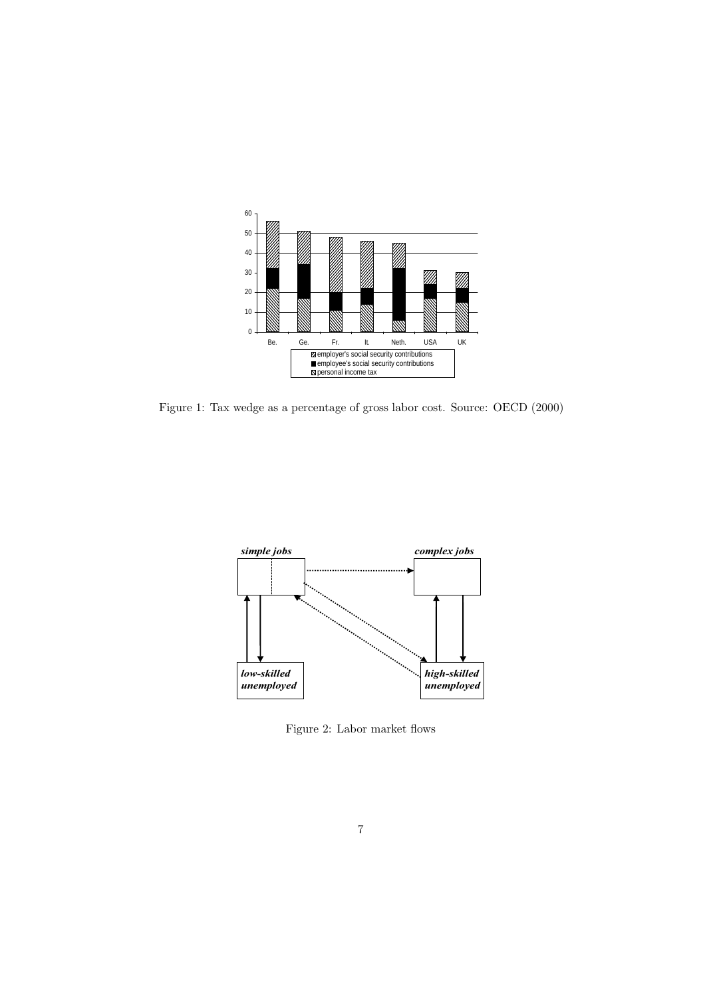

Figure 1: Tax wedge as a percentage of gross labor cost. Source: OECD (2000)



Figure 2: Labor market flows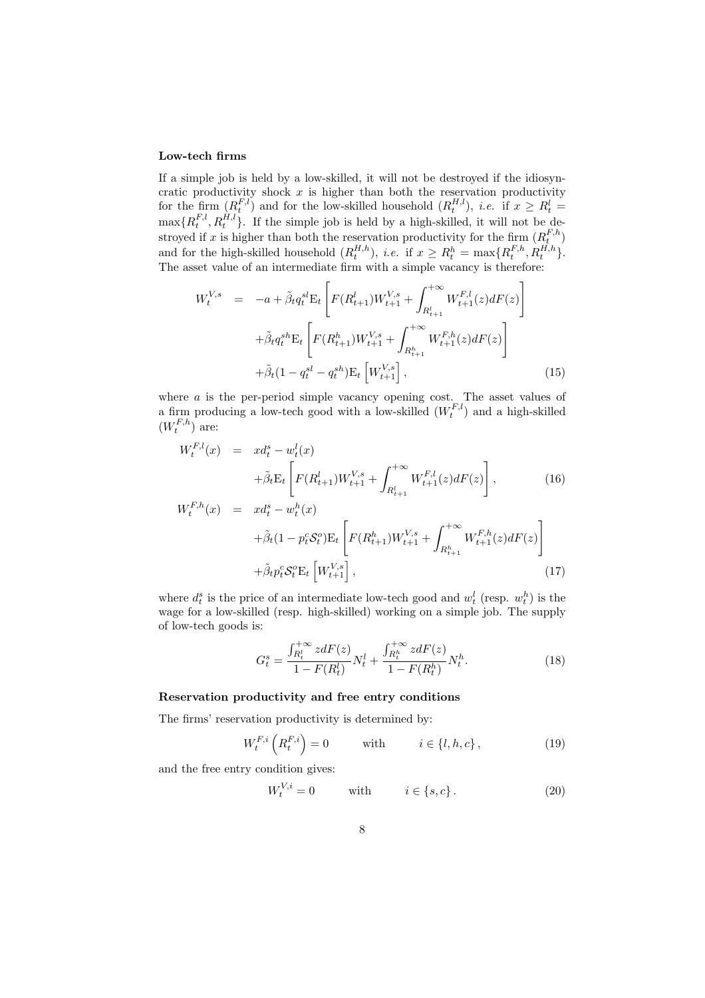#### Low-tech firms

If a simple job is held by a low-skilled, it will not be destroyed if the idiosyncratic productivity shock  $x$  is higher than both the reservation productivity for the firm  $(R_t^{F,l})$  and for the low-skilled household  $(R_t^{H,l})$ , *i.e.* if  $x \geq R_t^l$  $\max\{R_t^{F,l}, R_t^{H,l}\}\.$  If the simple job is held by a high-skilled, it will not be destroyed if x is higher than both the reservation productivity for the firm  $(R_t^{F,h})$ and for the high-skilled household  $(R_t^{H,h})$ , *i.e.* if  $x \ge R_t^h = \max\{R_t^{F,h}, R_t^{H,h}\}.$ The asset value of an intermediate firm with a simple vacancy is therefore:

$$
W_t^{V,s} = -a + \tilde{\beta}_t q_t^{sl} E_t \left[ F(R_{t+1}^l) W_{t+1}^{V,s} + \int_{R_{t+1}^l}^{+\infty} W_{t+1}^{F,l}(z) dF(z) \right]
$$
  
+  $\tilde{\beta}_t q_t^{sh} E_t \left[ F(R_{t+1}^h) W_{t+1}^{V,s} + \int_{R_{t+1}^h}^{+\infty} W_{t+1}^{F,h}(z) dF(z) \right]$   
+  $\tilde{\beta}_t (1 - q_t^{sl} - q_t^{sh}) E_t \left[ W_{t+1}^{V,s} \right],$  (15)

where  $\alpha$  is the per-period simple vacancy opening cost. The asset values of a firm producing a low-tech good with a low-skilled  $(W_t^{F,l})$  and a high-skilled  $(W_t^{F,h})$  are:

$$
W_t^{F,l}(x) = x d_t^s - w_t^l(x)
$$
  
+  $\tilde{\beta}_t \mathbf{E}_t \left[ F(R_{t+1}^l) W_{t+1}^{V,s} + \int_{R_{t+1}^l}^{+\infty} W_{t+1}^{F,l}(z) dF(z) \right],$  (16)  

$$
W_t^{F,h}(x) = x d_t^s - w_t^h(x)
$$

$$
+ \tilde{\beta}_t (1 - p_t^c S_t^o) \mathcal{E}_t \left[ F(R_{t+1}^h) W_{t+1}^{V,s} + \int_{R_{t+1}^h}^{+\infty} W_{t+1}^{F,h}(z) dF(z) \right] + \tilde{\beta}_t p_t^c S_t^o \mathcal{E}_t \left[ W_{t+1}^{V,s} \right],
$$
(17)

where  $d_t^s$  is the price of an intermediate low-tech good and  $w_t^l$  (resp.  $w_t^h$ ) is the wage for a low-skilled (resp. high-skilled) working on a simple job. The supply of low-tech goods is:

$$
G_t^s = \frac{\int_{R_t^l}^{+\infty} z dF(z)}{1 - F(R_t^l)} N_t^l + \frac{\int_{R_t^h}^{+\infty} z dF(z)}{1 - F(R_t^h)} N_t^h.
$$
\n(18)

#### Reservation productivity and free entry conditions

The firms' reservation productivity is determined by:

$$
W_t^{F,i}\left(R_t^{F,i}\right) = 0 \qquad \text{with} \qquad i \in \{l, h, c\},\tag{19}
$$

and the free entry condition gives:

$$
W_t^{V,i} = 0 \qquad \text{with} \qquad i \in \{s, c\}. \tag{20}
$$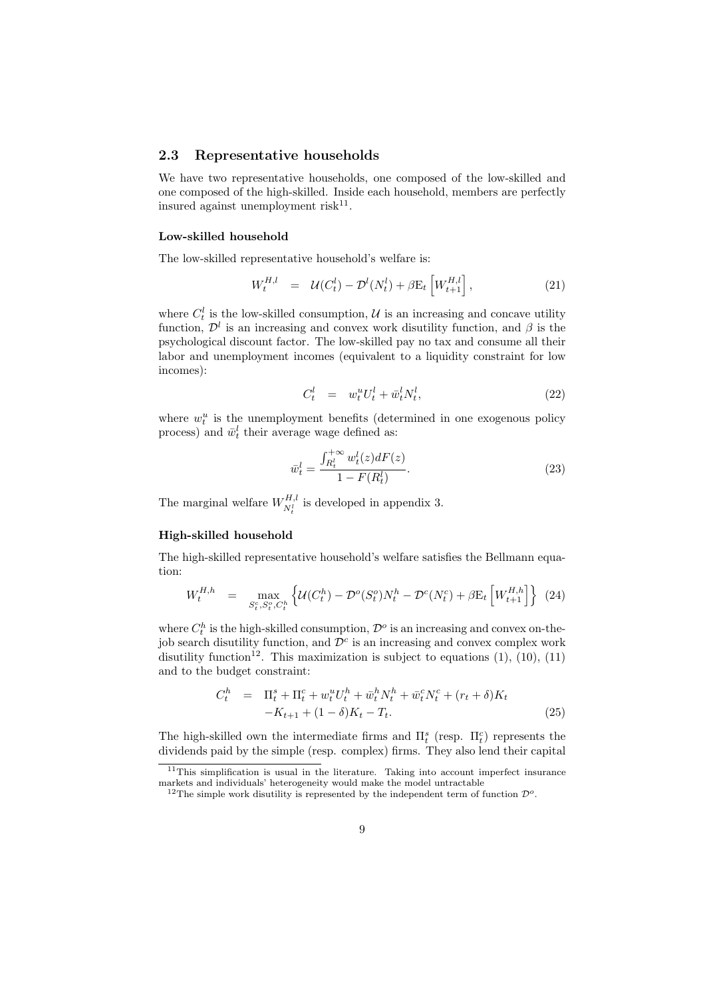#### 2.3 Representative households

We have two representative households, one composed of the low-skilled and one composed of the high-skilled. Inside each household, members are perfectly insured against unemployment risk<sup>11</sup>.

#### Low-skilled household

The low-skilled representative household's welfare is:

$$
W_t^{H,l} = \mathcal{U}(C_t^l) - \mathcal{D}^l(N_t^l) + \beta E_t \left[ W_{t+1}^{H,l} \right], \tag{21}
$$

where  $C_t^l$  is the low-skilled consumption,  $\mathcal U$  is an increasing and concave utility function,  $\mathcal{D}^l$  is an increasing and convex work disutility function, and  $\beta$  is the psychological discount factor. The low-skilled pay no tax and consume all their labor and unemployment incomes (equivalent to a liquidity constraint for low incomes):

$$
C_t^l = w_t^u U_t^l + \bar{w}_t^l N_t^l, \qquad (22)
$$

where  $w_t^u$  is the unemployment benefits (determined in one exogenous policy process) and  $\bar{w}_t^l$  their average wage defined as:

$$
\bar{w}_t^l = \frac{\int_{R_t^l}^{+\infty} w_t^l(z) dF(z)}{1 - F(R_t^l)}.
$$
\n(23)

The marginal welfare  $W_{nl}^{H,l}$  $N_t^{H,l}$  is developed in appendix 3.

#### High-skilled household

The high-skilled representative household's welfare satisfies the Bellmann equation:

$$
W_t^{H,h} = \max_{S_t^c, S_t^o, C_t^h} \left\{ \mathcal{U}(C_t^h) - \mathcal{D}^o(S_t^o) N_t^h - \mathcal{D}^c(N_t^c) + \beta E_t \left[ W_{t+1}^{H,h} \right] \right\} (24)
$$

where  $C_t^h$  is the high-skilled consumption,  $\mathcal{D}^o$  is an increasing and convex on-thejob search disutility function, and  $\mathcal{D}^c$  is an increasing and convex complex work disutility function<sup>12</sup>. This maximization is subject to equations  $(1)$ ,  $(10)$ ,  $(11)$ and to the budget constraint:

$$
C_t^h = \Pi_t^s + \Pi_t^c + w_t^u U_t^h + \bar{w}_t^h N_t^h + \bar{w}_t^c N_t^c + (r_t + \delta) K_t -K_{t+1} + (1 - \delta) K_t - T_t.
$$
\n(25)

The high-skilled own the intermediate firms and  $\Pi_t^s$  (resp.  $\Pi_t^c$ ) represents the dividends paid by the simple (resp. complex) firms. They also lend their capital

 $11$ This simplification is usual in the literature. Taking into account imperfect insurance markets and individuals' heterogeneity would make the model untractable

<sup>&</sup>lt;sup>12</sup>The simple work disutility is represented by the independent term of function  $\mathcal{D}^o$ .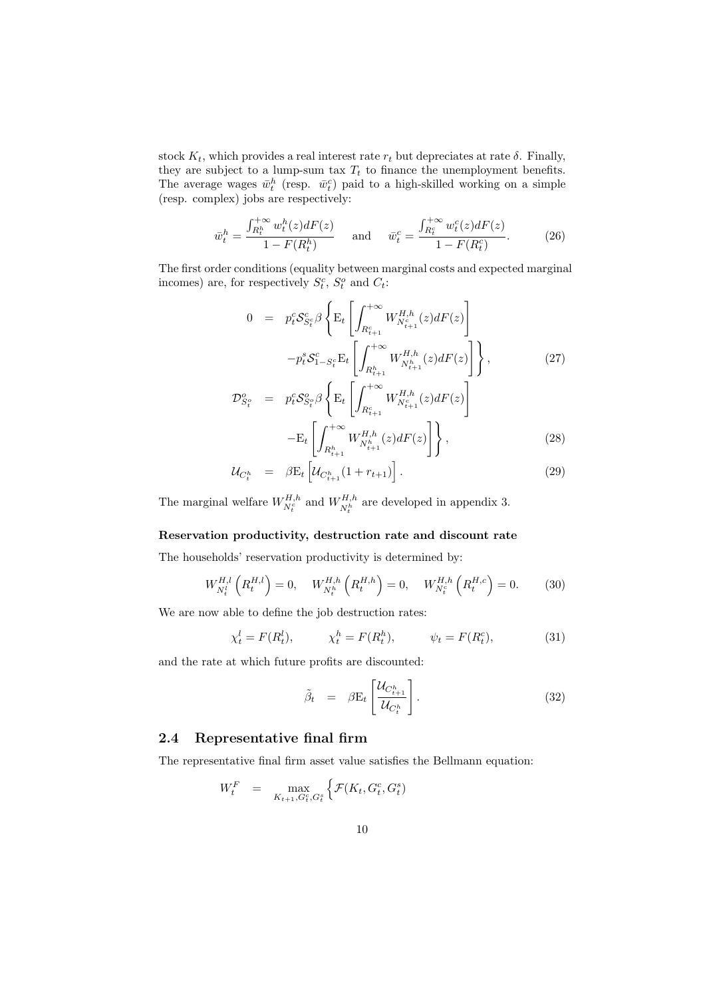stock  $K_t$ , which provides a real interest rate  $r_t$  but depreciates at rate  $\delta$ . Finally, they are subject to a lump-sum tax  $T_t$  to finance the unemployment benefits. The average wages  $\bar{w}_t^h$  (resp.  $\bar{w}_t^c$ ) paid to a high-skilled working on a simple (resp. complex) jobs are respectively:

$$
\bar{w}_t^h = \frac{\int_{R_t^h}^{+\infty} w_t^h(z) dF(z)}{1 - F(R_t^h)} \quad \text{and} \quad \bar{w}_t^c = \frac{\int_{R_t^c}^{+\infty} w_t^c(z) dF(z)}{1 - F(R_t^c)}.
$$
 (26)

The first order conditions (equality between marginal costs and expected marginal incomes) are, for respectively  $S_t^c$ ,  $S_t^o$  and  $C_t$ :

$$
0 = p_t^c S_{S_t^c}^c \beta \left\{ \mathbf{E}_t \left[ \int_{R_{t+1}^c}^{+\infty} W_{N_{t+1}^c}^{H,h}(z) dF(z) \right] - p_t^s S_{1-S_t^c}^c \mathbf{E}_t \left[ \int_{R_{t+1}^h}^{+\infty} W_{N_{t+1}^h}^{H,h}(z) dF(z) \right] \right\},
$$
\n
$$
\mathcal{D}_{S_t^o}^o = p_t^c S_{S_t^o}^o \beta \left\{ \mathbf{E}_t \left[ \int_{R_{t+1}^c}^{+\infty} W_{N_{t+1}^c}^{H,h}(z) dF(z) \right] - \mathbf{E}_t \left[ \int_{R_{t+1}^h}^{+\infty} W_{N_{t+1}^h}^{H,h}(z) dF(z) \right] \right\},
$$
\n(28)

$$
\mathcal{U}_{C_t^h} = \beta \mathcal{E}_t \left[ \mathcal{U}_{C_{t+1}^h} (1 + r_{t+1}) \right]. \tag{29}
$$

The marginal welfare  $W_{N_t^c}^{H,h}$  and  $W_{N_t^h}^{H,h}$  $N_t^{H,h}$  are developed in appendix 3.

#### Reservation productivity, destruction rate and discount rate

The households' reservation productivity is determined by:

$$
W_{N_t^l}^{H,l} \left( R_t^{H,l} \right) = 0, \quad W_{N_t^h}^{H,h} \left( R_t^{H,h} \right) = 0, \quad W_{N_t^c}^{H,h} \left( R_t^{H,c} \right) = 0. \tag{30}
$$

We are now able to define the job destruction rates:

$$
\chi_t^l = F(R_t^l), \qquad \chi_t^h = F(R_t^h), \qquad \psi_t = F(R_t^c), \tag{31}
$$

and the rate at which future profits are discounted:

$$
\tilde{\beta}_t = \beta \mathbf{E}_t \left[ \frac{\mathcal{U}_{C_{t+1}^h}}{\mathcal{U}_{C_t^h}} \right]. \tag{32}
$$

#### 2.4 Representative final firm

The representative final firm asset value satisfies the Bellmann equation:

$$
W_t^F = \max_{K_{t+1}, G_t^c, G_t^s} \left\{ \mathcal{F}(K_t, G_t^c, G_t^s) \right\}
$$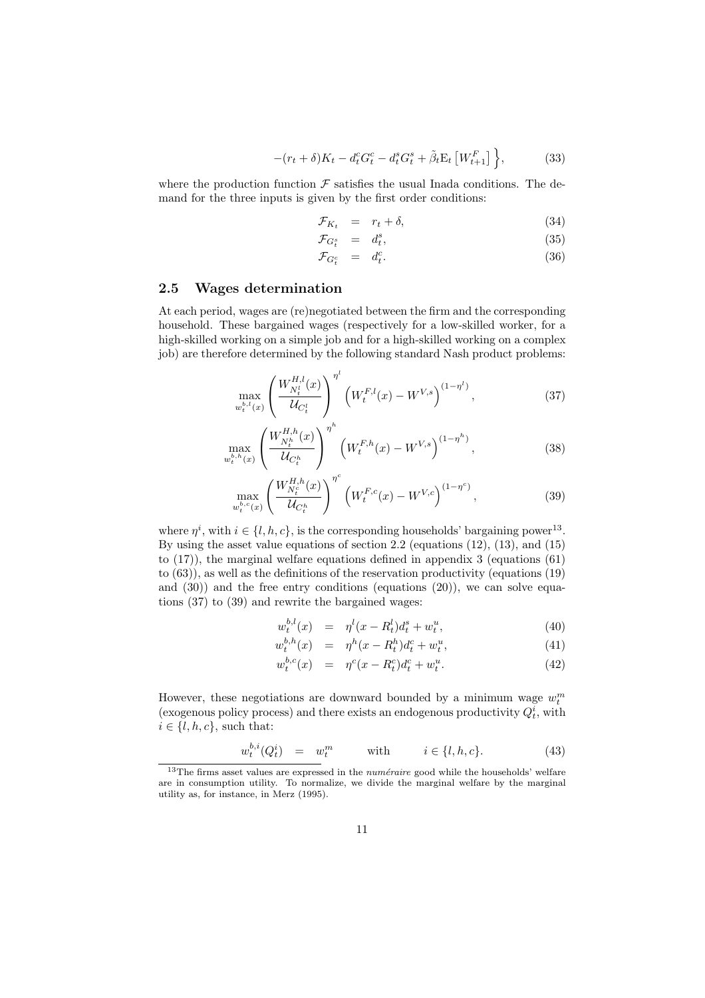$$
-(r_t + \delta)K_t - d_t^c G_t^c - d_t^s G_t^s + \tilde{\beta}_t \mathcal{E}_t \left[W_{t+1}^F\right] \Big\},\tag{33}
$$

where the production function  $\mathcal F$  satisfies the usual Inada conditions. The demand for the three inputs is given by the first order conditions:

$$
\mathcal{F}_{K_t} = r_t + \delta, \tag{34}
$$

$$
\mathcal{F}_{G_t^s} = d_t^s, \tag{35}
$$

$$
\mathcal{F}_{G_t^c} = d_t^c. \tag{36}
$$

#### 2.5 Wages determination

At each period, wages are (re)negotiated between the firm and the corresponding household. These bargained wages (respectively for a low-skilled worker, for a high-skilled working on a simple job and for a high-skilled working on a complex job) are therefore determined by the following standard Nash product problems:

$$
\max_{w_t^{b,l}(x)} \left(\frac{W_{N_t^l}^{H,l}(x)}{\mathcal{U}_{C_t^l}}\right)^{\eta^l} \left(W_t^{F,l}(x) - W^{V,s}\right)^{(1-\eta^l)},\tag{37}
$$

$$
\max_{w_t^{b,h}(x)} \left( \frac{W_{N_t^h}^{H,h}(x)}{\mathcal{U}_{C_t^h}} \right)^{\eta^h} \left( W_t^{F,h}(x) - W^{V,s} \right)^{(1-\eta^h)}, \tag{38}
$$

$$
\max_{w_t^{b,c}(x)} \left(\frac{W_{N_t^c}^{H,h}(x)}{\mathcal{U}_{C_t^h}}\right)^{\eta^c} \left(W_t^{F,c}(x) - W^{V,c}\right)^{(1-\eta^c)},\tag{39}
$$

where  $\eta^i$ , with  $i \in \{l, h, c\}$ , is the corresponding households' bargaining power<sup>13</sup>. By using the asset value equations of section 2.2 (equations (12), (13), and (15) to (17)), the marginal welfare equations defined in appendix 3 (equations (61) to (63)), as well as the definitions of the reservation productivity (equations (19) and  $(30)$  and the free entry conditions (equations  $(20)$ ), we can solve equations (37) to (39) and rewrite the bargained wages:

$$
w_t^{b,l}(x) = \eta^l(x - R_t^l) d_t^s + w_t^u,
$$
\n(40)

$$
w_t^{b,h}(x) = \eta^h(x - R_t^h)d_t^c + w_t^u,
$$
\n(41)

$$
w_t^{b,c}(x) = \eta^c(x - R_t^c)d_t^c + w_t^u. \tag{42}
$$

However, these negotiations are downward bounded by a minimum wage  $w_t^m$ (exogenous policy process) and there exists an endogenous productivity  $Q_t^i$ , with  $i \in \{l, h, c\}$ , such that:

$$
w_t^{b,i}(Q_t^i) = w_t^m \qquad \text{with} \qquad i \in \{l, h, c\}. \tag{43}
$$

 $\frac{13}{13}$ The firms asset values are expressed in the *numéraire* good while the households' welfare are in consumption utility. To normalize, we divide the marginal welfare by the marginal utility as, for instance, in Merz (1995).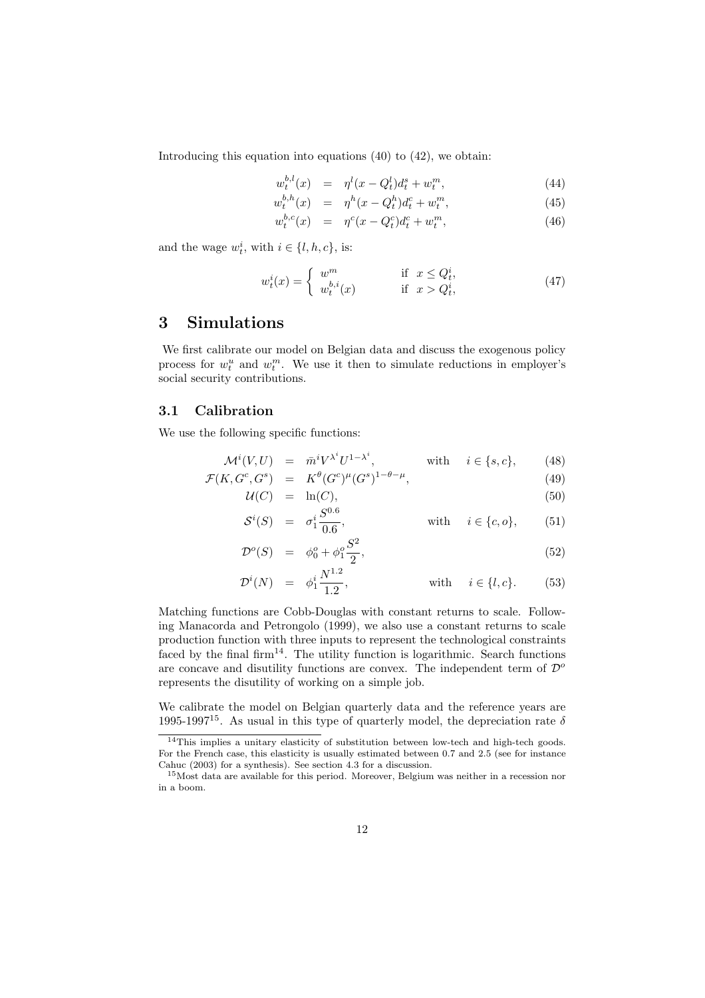Introducing this equation into equations (40) to (42), we obtain:

$$
w_t^{b,l}(x) = \eta^l(x - Q_t^l) d_t^s + w_t^m, \tag{44}
$$

$$
w_t^{b,h}(x) = \eta^h(x - Q_t^h) d_t^c + w_t^m, \tag{45}
$$

$$
w_t^{b,c}(x) = \eta^c(x - Q_t^c) d_t^c + w_t^m, \qquad (46)
$$

and the wage  $w_t^i$ , with  $i \in \{l, h, c\}$ , is:

$$
w_t^i(x) = \begin{cases} w^m & \text{if } x \le Q_t^i, \\ w_t^{b,i}(x) & \text{if } x > Q_t^i, \end{cases}
$$
 (47)

### 3 Simulations

We first calibrate our model on Belgian data and discuss the exogenous policy process for  $w_t^u$  and  $w_t^m$ . We use it then to simulate reductions in employer's social security contributions.

#### 3.1 Calibration

We use the following specific functions:

$$
\mathcal{M}^i(V, U) = \bar{m}^i V^{\lambda^i} U^{1 - \lambda^i}, \qquad \text{with} \quad i \in \{s, c\}, \qquad (48)
$$

$$
\mathcal{F}(K, G^c, G^s) = K^{\theta} (G^c)^{\mu} (G^s)^{1-\theta-\mu}, \tag{49}
$$

$$
\mathcal{U}(C) = \ln(C),\tag{50}
$$
\n
$$
c^{i}(C) = i S^{0.6} \tag{51}
$$

$$
\mathcal{S}^i(S) = \sigma_1^i \frac{\mathcal{S}^{iS}}{0.6}, \qquad \text{with} \quad i \in \{c, o\}, \qquad (51)
$$

$$
\mathcal{D}^o(S) = \phi_0^o + \phi_1^o \frac{S^2}{2},\tag{52}
$$

$$
\mathcal{D}^{i}(N) = \phi_{1}^{i} \frac{N^{1.2}}{1.2}, \qquad \text{with} \quad i \in \{l, c\}. \tag{53}
$$

Matching functions are Cobb-Douglas with constant returns to scale. Following Manacorda and Petrongolo (1999), we also use a constant returns to scale production function with three inputs to represent the technological constraints faced by the final firm<sup>14</sup>. The utility function is logarithmic. Search functions are concave and disutility functions are convex. The independent term of  $\mathcal{D}^{\circ}$ represents the disutility of working on a simple job.

We calibrate the model on Belgian quarterly data and the reference years are 1995-1997<sup>15</sup>. As usual in this type of quarterly model, the depreciation rate  $\delta$ 

<sup>14</sup>This implies a unitary elasticity of substitution between low-tech and high-tech goods. For the French case, this elasticity is usually estimated between 0.7 and 2.5 (see for instance Cahuc (2003) for a synthesis). See section 4.3 for a discussion.

<sup>15</sup>Most data are available for this period. Moreover, Belgium was neither in a recession nor in a boom.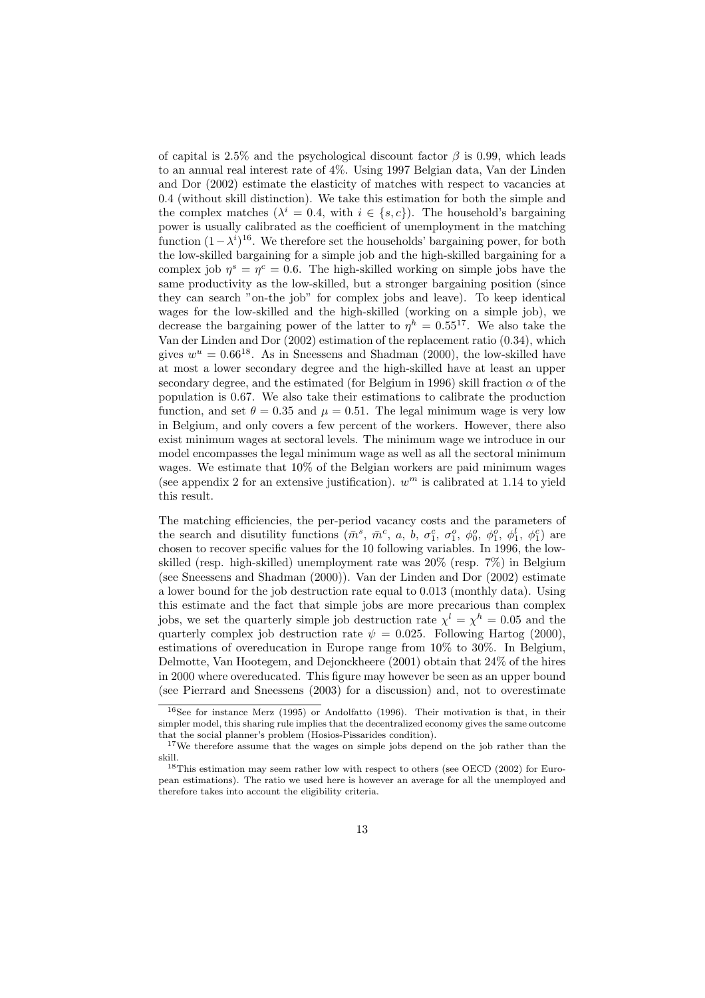of capital is 2.5% and the psychological discount factor  $\beta$  is 0.99, which leads to an annual real interest rate of 4%. Using 1997 Belgian data, Van der Linden and Dor (2002) estimate the elasticity of matches with respect to vacancies at 0.4 (without skill distinction). We take this estimation for both the simple and the complex matches  $(\lambda^{i} = 0.4, \text{ with } i \in \{s, c\})$ . The household's bargaining power is usually calibrated as the coefficient of unemployment in the matching function  $(1 - \lambda^i)^{16}$ . We therefore set the households' bargaining power, for both the low-skilled bargaining for a simple job and the high-skilled bargaining for a complex job  $\eta^s = \eta^c = 0.6$ . The high-skilled working on simple jobs have the same productivity as the low-skilled, but a stronger bargaining position (since they can search "on-the job" for complex jobs and leave). To keep identical wages for the low-skilled and the high-skilled (working on a simple job), we decrease the bargaining power of the latter to  $\eta^h = 0.55^{17}$ . We also take the Van der Linden and Dor (2002) estimation of the replacement ratio (0.34), which gives  $w^u = 0.66^{18}$ . As in Sneessens and Shadman (2000), the low-skilled have at most a lower secondary degree and the high-skilled have at least an upper secondary degree, and the estimated (for Belgium in 1996) skill fraction  $\alpha$  of the population is 0.67. We also take their estimations to calibrate the production function, and set  $\theta = 0.35$  and  $\mu = 0.51$ . The legal minimum wage is very low in Belgium, and only covers a few percent of the workers. However, there also exist minimum wages at sectoral levels. The minimum wage we introduce in our model encompasses the legal minimum wage as well as all the sectoral minimum wages. We estimate that 10% of the Belgian workers are paid minimum wages (see appendix 2 for an extensive justification).  $w^m$  is calibrated at 1.14 to yield this result.

The matching efficiencies, the per-period vacancy costs and the parameters of the search and disutility functions  $(\bar{m}^s, \bar{m}^c, a, b, \sigma_1^c, \sigma_1^o, \phi_0^o, \phi_1^o, \phi_1^l, \phi_1^c)$  are chosen to recover specific values for the 10 following variables. In 1996, the lowskilled (resp. high-skilled) unemployment rate was 20% (resp. 7%) in Belgium (see Sneessens and Shadman (2000)). Van der Linden and Dor (2002) estimate a lower bound for the job destruction rate equal to 0.013 (monthly data). Using this estimate and the fact that simple jobs are more precarious than complex jobs, we set the quarterly simple job destruction rate  $\chi^l = \chi^h = 0.05$  and the quarterly complex job destruction rate  $\psi = 0.025$ . Following Hartog (2000), estimations of overeducation in Europe range from 10% to 30%. In Belgium, Delmotte, Van Hootegem, and Dejonckheere (2001) obtain that 24% of the hires in 2000 where overeducated. This figure may however be seen as an upper bound (see Pierrard and Sneessens (2003) for a discussion) and, not to overestimate

<sup>16</sup>See for instance Merz (1995) or Andolfatto (1996). Their motivation is that, in their simpler model, this sharing rule implies that the decentralized economy gives the same outcome that the social planner's problem (Hosios-Pissarides condition).

<sup>&</sup>lt;sup>17</sup>We therefore assume that the wages on simple jobs depend on the job rather than the skill.

<sup>18</sup>This estimation may seem rather low with respect to others (see OECD (2002) for European estimations). The ratio we used here is however an average for all the unemployed and therefore takes into account the eligibility criteria.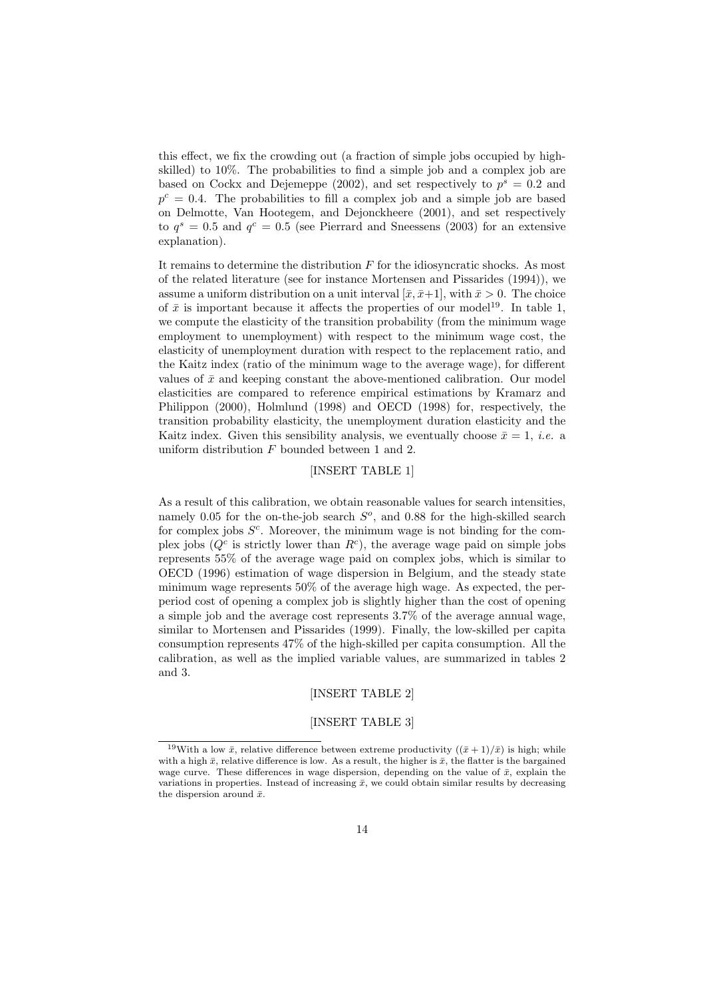this effect, we fix the crowding out (a fraction of simple jobs occupied by highskilled) to 10%. The probabilities to find a simple job and a complex job are based on Cockx and Dejemeppe (2002), and set respectively to  $p^s = 0.2$  and  $p^{c} = 0.4$ . The probabilities to fill a complex job and a simple job are based on Delmotte, Van Hootegem, and Dejonckheere (2001), and set respectively to  $q^s = 0.5$  and  $q^c = 0.5$  (see Pierrard and Sneessens (2003) for an extensive explanation).

It remains to determine the distribution  $F$  for the idiosyncratic shocks. As most of the related literature (see for instance Mortensen and Pissarides (1994)), we assume a uniform distribution on a unit interval  $[\bar{x}, \bar{x}+1]$ , with  $\bar{x} > 0$ . The choice of  $\bar{x}$  is important because it affects the properties of our model<sup>19</sup>. In table 1, we compute the elasticity of the transition probability (from the minimum wage employment to unemployment) with respect to the minimum wage cost, the elasticity of unemployment duration with respect to the replacement ratio, and the Kaitz index (ratio of the minimum wage to the average wage), for different values of  $\bar{x}$  and keeping constant the above-mentioned calibration. Our model elasticities are compared to reference empirical estimations by Kramarz and Philippon (2000), Holmlund (1998) and OECD (1998) for, respectively, the transition probability elasticity, the unemployment duration elasticity and the Kaitz index. Given this sensibility analysis, we eventually choose  $\bar{x} = 1$ , *i.e.* a uniform distribution F bounded between 1 and 2.

#### [INSERT TABLE 1]

As a result of this calibration, we obtain reasonable values for search intensities, namely 0.05 for the on-the-job search  $S<sup>o</sup>$ , and 0.88 for the high-skilled search for complex jobs  $S<sup>c</sup>$ . Moreover, the minimum wage is not binding for the complex jobs  $(Q<sup>c</sup>$  is strictly lower than  $R<sup>c</sup>$ ), the average wage paid on simple jobs represents 55% of the average wage paid on complex jobs, which is similar to OECD (1996) estimation of wage dispersion in Belgium, and the steady state minimum wage represents 50% of the average high wage. As expected, the perperiod cost of opening a complex job is slightly higher than the cost of opening a simple job and the average cost represents 3.7% of the average annual wage, similar to Mortensen and Pissarides (1999). Finally, the low-skilled per capita consumption represents 47% of the high-skilled per capita consumption. All the calibration, as well as the implied variable values, are summarized in tables 2 and 3.

#### [INSERT TABLE 2]

#### [INSERT TABLE 3]

<sup>&</sup>lt;sup>19</sup>With a low  $\bar{x}$ , relative difference between extreme productivity  $((\bar{x} + 1)/\bar{x})$  is high; while with a high  $\bar{x}$ , relative difference is low. As a result, the higher is  $\bar{x}$ , the flatter is the bargained wage curve. These differences in wage dispersion, depending on the value of  $\bar{x}$ , explain the variations in properties. Instead of increasing  $\bar{x}$ , we could obtain similar results by decreasing the dispersion around  $\bar{x}$ .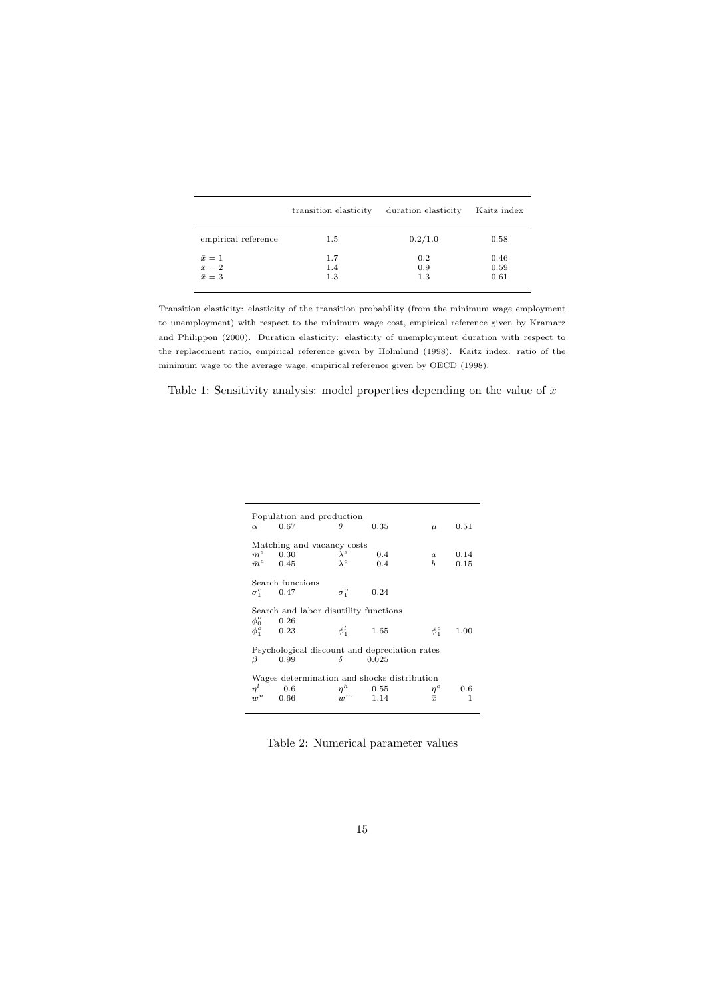|                     | transition elasticity | duration elasticity | Kaitz index |
|---------------------|-----------------------|---------------------|-------------|
| empirical reference | $1.5\,$               | 0.2/1.0             | 0.58        |
| $\bar{x}=1$         | 1.7                   | 0.2                 | 0.46        |
| $\bar{x}=2$         | 1.4                   | 0.9                 | 0.59        |
| $\bar{x}=3$         | 1.3                   | 1.3                 | 0.61        |

Transition elasticity: elasticity of the transition probability (from the minimum wage employment to unemployment) with respect to the minimum wage cost, empirical reference given by Kramarz and Philippon (2000). Duration elasticity: elasticity of unemployment duration with respect to the replacement ratio, empirical reference given by Holmlund (1998). Kaitz index: ratio of the minimum wage to the average wage, empirical reference given by OECD (1998).

Table 1: Sensitivity analysis: model properties depending on the value of  $\bar{x}$ 

| $\alpha$                                                                        | Population and production<br>0.67                                  | $\theta$                   | 0.35                  | $\mu$                 | 0.51         |  |  |
|---------------------------------------------------------------------------------|--------------------------------------------------------------------|----------------------------|-----------------------|-----------------------|--------------|--|--|
|                                                                                 | Matching and vacancy costs<br>$\bar{m}^s$ 0.30<br>$\bar{m}^c$ 0.45 | $\lambda^s$<br>$\lambda^c$ | 0.4<br>0.4            | $\boldsymbol{a}$<br>b | 0.14<br>0.15 |  |  |
|                                                                                 | Search functions<br>$\sigma_1^c$ 0.47                              | $\sigma_1^o$               | 0.24                  |                       |              |  |  |
| Search and labor disutility functions<br>$\phi_0^o$ 0.26                        |                                                                    |                            |                       |                       |              |  |  |
| $\phi_1^o$                                                                      | 0.23                                                               | $\phi_1^l$ 1.65            |                       | $\phi_1^c$            | 1.00         |  |  |
| Psychological discount and depreciation rates<br>$\delta$<br>0.99<br>0.025<br>B |                                                                    |                            |                       |                       |              |  |  |
| Wages determination and shocks distribution                                     |                                                                    |                            |                       |                       |              |  |  |
| $n^{l}$                                                                         | 0.6<br>0.66                                                        | $w^m$                      | $\eta^h$ 0.55<br>1.14 | $\eta^c$<br>$\bar{x}$ | 0.6<br>1     |  |  |

Table 2: Numerical parameter values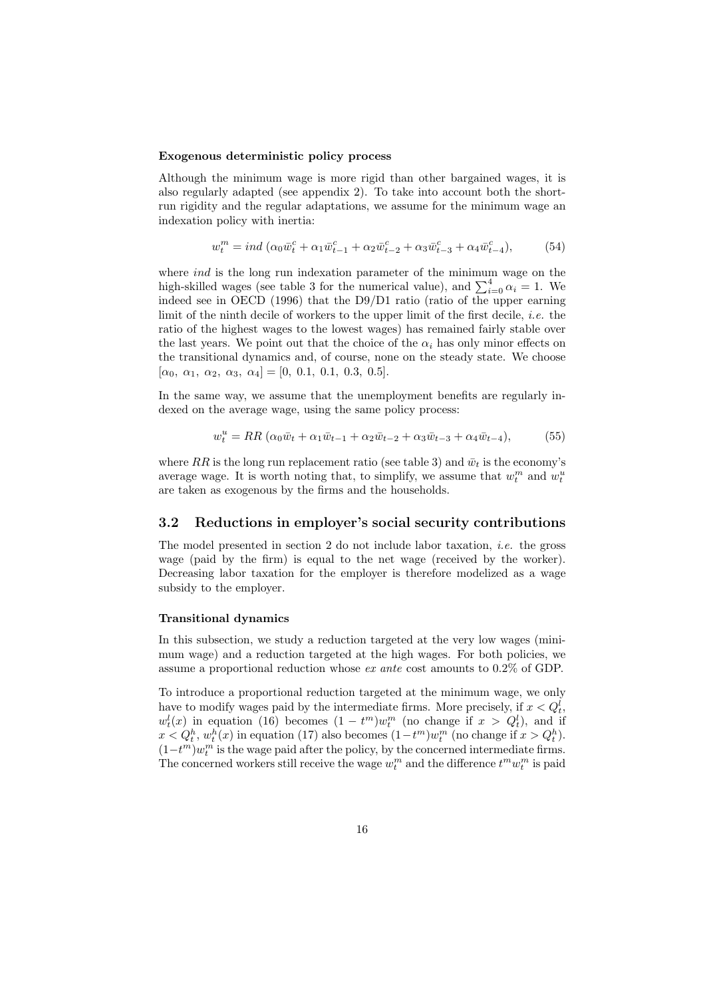#### Exogenous deterministic policy process

Although the minimum wage is more rigid than other bargained wages, it is also regularly adapted (see appendix 2). To take into account both the shortrun rigidity and the regular adaptations, we assume for the minimum wage an indexation policy with inertia:

$$
w_t^m = ind \left( \alpha_0 \bar{w}_t^c + \alpha_1 \bar{w}_{t-1}^c + \alpha_2 \bar{w}_{t-2}^c + \alpha_3 \bar{w}_{t-3}^c + \alpha_4 \bar{w}_{t-4}^c \right),
$$
 (54)

where *ind* is the long run indexation parameter of the minimum wage on the where *tha* is the long run indexation parameter of the minimum wage on the high-skilled wages (see table 3 for the numerical value), and  $\sum_{i=0}^{4} \alpha_i = 1$ . We indeed see in OECD (1996) that the D9/D1 ratio (ratio of the upper earning limit of the ninth decile of workers to the upper limit of the first decile, i.e. the ratio of the highest wages to the lowest wages) has remained fairly stable over the last years. We point out that the choice of the  $\alpha_i$  has only minor effects on the transitional dynamics and, of course, none on the steady state. We choose  $[\alpha_0, \alpha_1, \alpha_2, \alpha_3, \alpha_4] = [0, 0.1, 0.1, 0.3, 0.5].$ 

In the same way, we assume that the unemployment benefits are regularly indexed on the average wage, using the same policy process:

$$
w_t^u = RR (\alpha_0 \bar{w}_t + \alpha_1 \bar{w}_{t-1} + \alpha_2 \bar{w}_{t-2} + \alpha_3 \bar{w}_{t-3} + \alpha_4 \bar{w}_{t-4}),
$$
(55)

where RR is the long run replacement ratio (see table 3) and  $\bar{w}_t$  is the economy's average wage. It is worth noting that, to simplify, we assume that  $w_t^m$  and  $w_t^u$ are taken as exogenous by the firms and the households.

#### 3.2 Reductions in employer's social security contributions

The model presented in section 2 do not include labor taxation, i.e. the gross wage (paid by the firm) is equal to the net wage (received by the worker). Decreasing labor taxation for the employer is therefore modelized as a wage subsidy to the employer.

#### Transitional dynamics

In this subsection, we study a reduction targeted at the very low wages (minimum wage) and a reduction targeted at the high wages. For both policies, we assume a proportional reduction whose ex ante cost amounts to 0.2% of GDP.

To introduce a proportional reduction targeted at the minimum wage, we only have to modify wages paid by the intermediate firms. More precisely, if  $x < Q_t^l$ ,  $w_t^l(x)$  in equation (16) becomes  $(1 - t^m)w_t^m$  (no change if  $x > Q_t^l$ ), and if  $x < Q_t^h$ ,  $w_t^h(x)$  in equation (17) also becomes  $(1-t^m)w_t^m$  (no change if  $x > Q_t^h$ ).  $(1-t^m)w_t^m$  is the wage paid after the policy, by the concerned intermediate firms. The concerned workers still receive the wage  $w_t^m$  and the difference  $t^m w_t^m$  is paid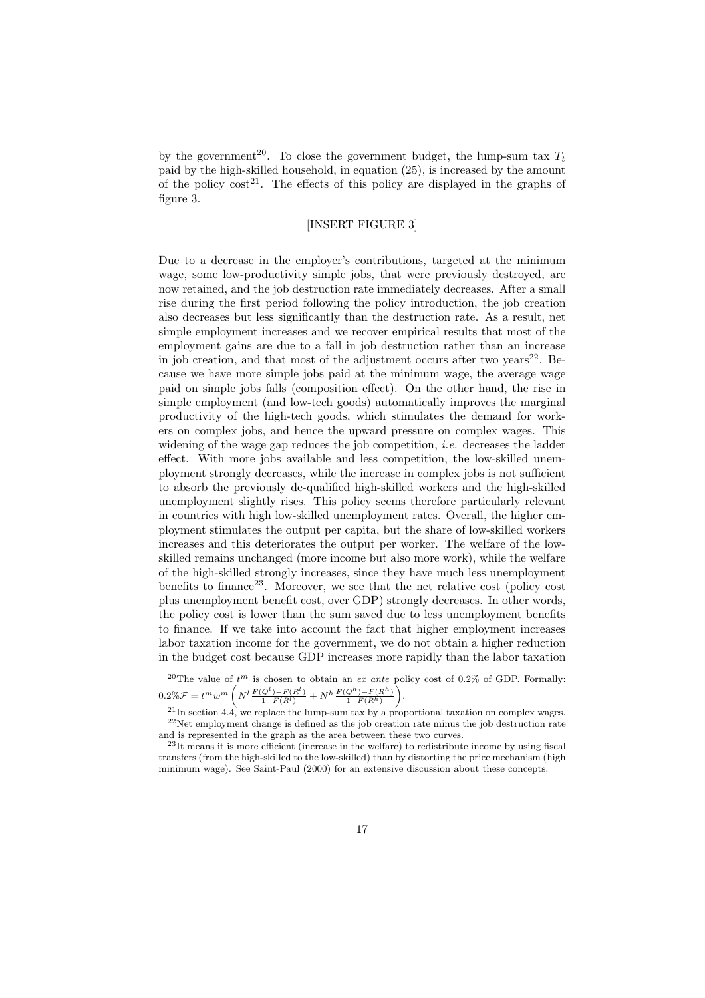by the government<sup>20</sup>. To close the government budget, the lump-sum tax  $T_t$ paid by the high-skilled household, in equation (25), is increased by the amount of the policy  $\cos t^{21}$ . The effects of this policy are displayed in the graphs of figure 3.

#### [INSERT FIGURE 3]

Due to a decrease in the employer's contributions, targeted at the minimum wage, some low-productivity simple jobs, that were previously destroyed, are now retained, and the job destruction rate immediately decreases. After a small rise during the first period following the policy introduction, the job creation also decreases but less significantly than the destruction rate. As a result, net simple employment increases and we recover empirical results that most of the employment gains are due to a fall in job destruction rather than an increase in job creation, and that most of the adjustment occurs after two vears $22$ . Because we have more simple jobs paid at the minimum wage, the average wage paid on simple jobs falls (composition effect). On the other hand, the rise in simple employment (and low-tech goods) automatically improves the marginal productivity of the high-tech goods, which stimulates the demand for workers on complex jobs, and hence the upward pressure on complex wages. This widening of the wage gap reduces the job competition, *i.e.* decreases the ladder effect. With more jobs available and less competition, the low-skilled unemployment strongly decreases, while the increase in complex jobs is not sufficient to absorb the previously de-qualified high-skilled workers and the high-skilled unemployment slightly rises. This policy seems therefore particularly relevant in countries with high low-skilled unemployment rates. Overall, the higher employment stimulates the output per capita, but the share of low-skilled workers increases and this deteriorates the output per worker. The welfare of the lowskilled remains unchanged (more income but also more work), while the welfare of the high-skilled strongly increases, since they have much less unemployment benefits to finance<sup>23</sup>. Moreover, we see that the net relative cost (policy cost plus unemployment benefit cost, over GDP) strongly decreases. In other words, the policy cost is lower than the sum saved due to less unemployment benefits to finance. If we take into account the fact that higher employment increases labor taxation income for the government, we do not obtain a higher reduction in the budget cost because GDP increases more rapidly than the labor taxation

<sup>&</sup>lt;sup>20</sup>The value of  $t^m$  is chosen to obtain an ex ante policy cost of 0.2% of GDP. Formally:  $0.2\%\mathcal{F} = t^m w^m$  $\left(N^l \frac{F(Q^l) - F(R^l)}{1 - F(R^l)} + N^h \frac{F(Q^h) - F(R^h)}{1 - F(R^h)}\right)$ pс .

 $^{21}$ In section 4.4, we replace the lump-sum tax by a proportional taxation on complex wages.  $22$ Net employment change is defined as the job creation rate minus the job destruction rate and is represented in the graph as the area between these two curves.

<sup>23</sup>It means it is more efficient (increase in the welfare) to redistribute income by using fiscal transfers (from the high-skilled to the low-skilled) than by distorting the price mechanism (high minimum wage). See Saint-Paul (2000) for an extensive discussion about these concepts.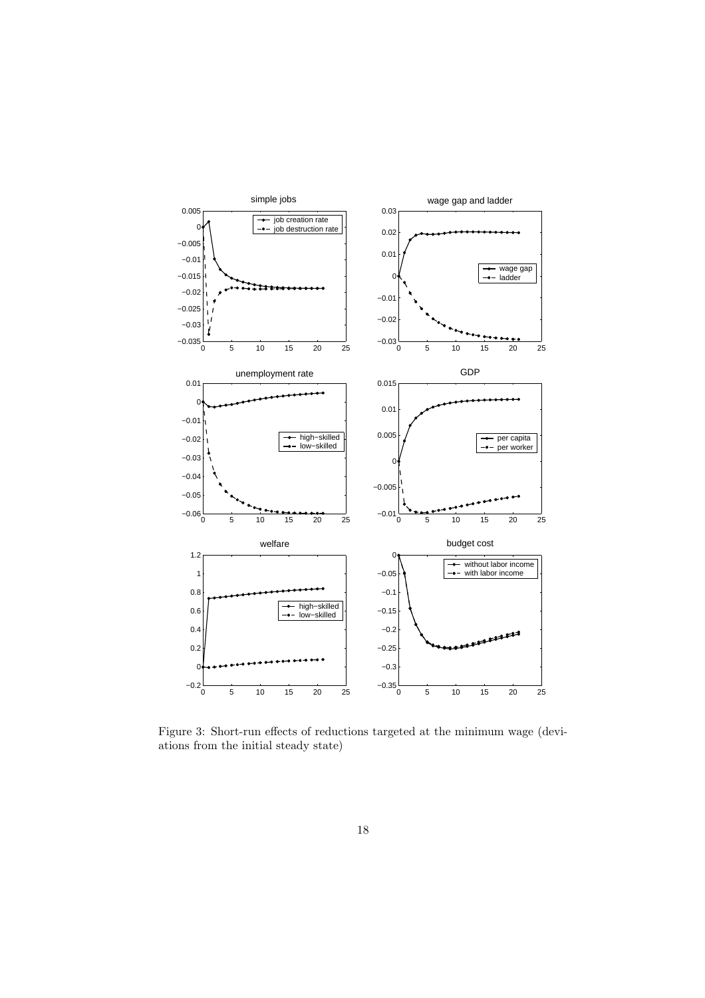

Figure 3: Short-run effects of reductions targeted at the minimum wage (deviations from the initial steady state)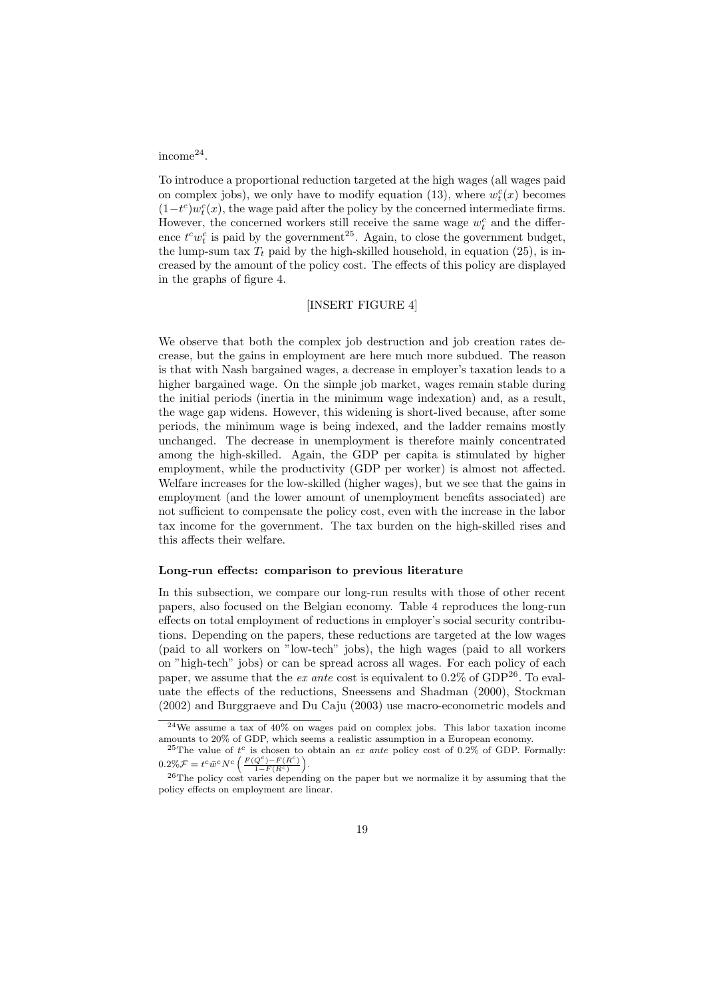#### income<sup>24</sup> .

To introduce a proportional reduction targeted at the high wages (all wages paid on complex jobs), we only have to modify equation (13), where  $w_t^c(x)$  becomes  $(1-t<sup>c</sup>)w<sub>t</sub><sup>c</sup>(x)$ , the wage paid after the policy by the concerned intermediate firms. However, the concerned workers still receive the same wage  $w_t^c$  and the difference  $t^c w_t^c$  is paid by the government<sup>25</sup>. Again, to close the government budget, the lump-sum tax  $T_t$  paid by the high-skilled household, in equation (25), is increased by the amount of the policy cost. The effects of this policy are displayed in the graphs of figure 4.

#### [INSERT FIGURE 4]

We observe that both the complex job destruction and job creation rates decrease, but the gains in employment are here much more subdued. The reason is that with Nash bargained wages, a decrease in employer's taxation leads to a higher bargained wage. On the simple job market, wages remain stable during the initial periods (inertia in the minimum wage indexation) and, as a result, the wage gap widens. However, this widening is short-lived because, after some periods, the minimum wage is being indexed, and the ladder remains mostly unchanged. The decrease in unemployment is therefore mainly concentrated among the high-skilled. Again, the GDP per capita is stimulated by higher employment, while the productivity (GDP per worker) is almost not affected. Welfare increases for the low-skilled (higher wages), but we see that the gains in employment (and the lower amount of unemployment benefits associated) are not sufficient to compensate the policy cost, even with the increase in the labor tax income for the government. The tax burden on the high-skilled rises and this affects their welfare.

#### Long-run effects: comparison to previous literature

In this subsection, we compare our long-run results with those of other recent papers, also focused on the Belgian economy. Table 4 reproduces the long-run effects on total employment of reductions in employer's social security contributions. Depending on the papers, these reductions are targeted at the low wages (paid to all workers on "low-tech" jobs), the high wages (paid to all workers on "high-tech" jobs) or can be spread across all wages. For each policy of each paper, we assume that the *ex ante* cost is equivalent to  $0.2\%$  of GDP<sup>26</sup>. To evaluate the effects of the reductions, Sneessens and Shadman (2000), Stockman (2002) and Burggraeve and Du Caju (2003) use macro-econometric models and

<sup>24</sup>We assume a tax of 40% on wages paid on complex jobs. This labor taxation income amounts to 20% of GDP, which seems a realistic assumption in a European economy.

<sup>&</sup>lt;sup>25</sup>The value of  $t^c$  is chosen to obtain an ex ante policy cost of 0.2% of GDP. Formally:  $0.2\% \mathcal{F} = t^c \bar{w}^c N^c \left( \frac{F(Q^c) - F(R^c)}{1 - F(R^c)} \right)$ .

 $^{26}$ The policy cost varies depending on the paper but we normalize it by assuming that the policy effects on employment are linear.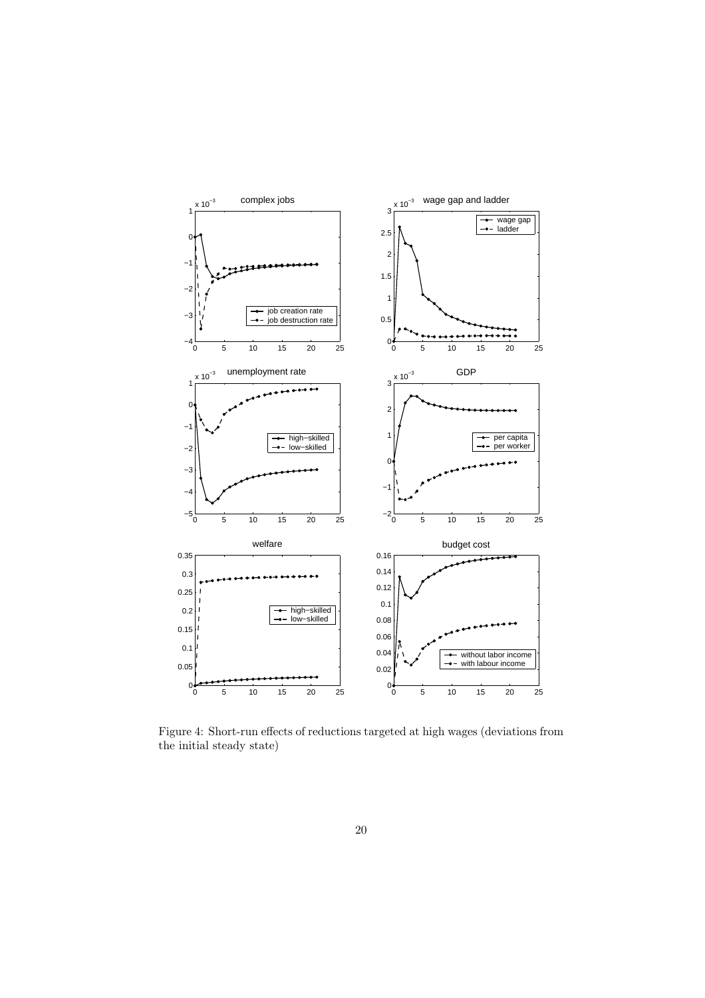

Figure 4: Short-run effects of reductions targeted at high wages (deviations from the initial steady state)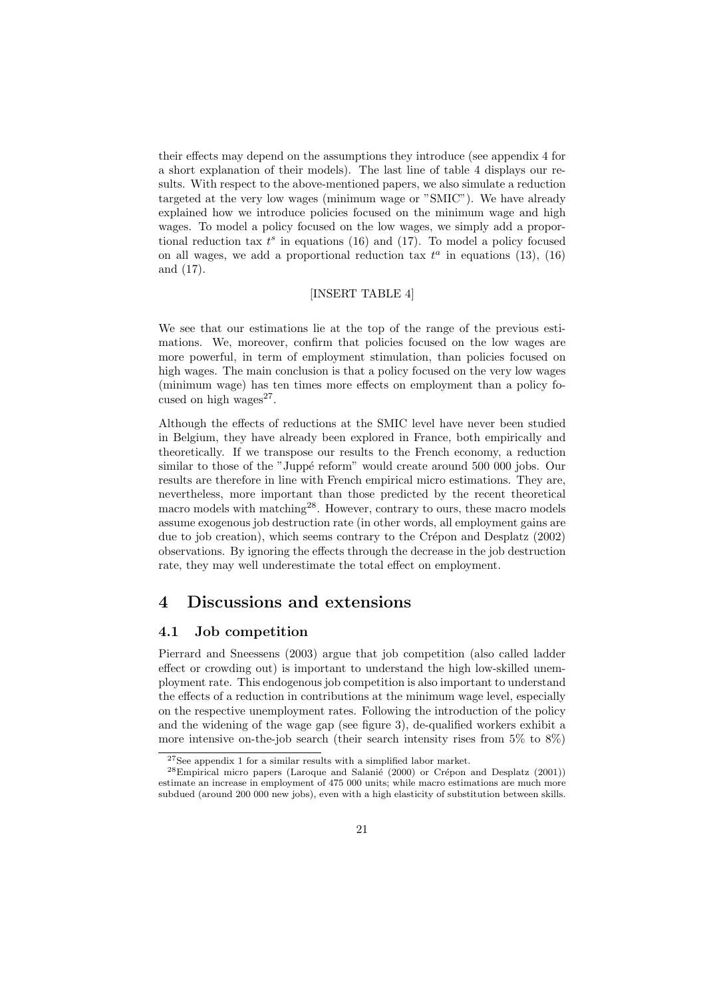their effects may depend on the assumptions they introduce (see appendix 4 for a short explanation of their models). The last line of table 4 displays our results. With respect to the above-mentioned papers, we also simulate a reduction targeted at the very low wages (minimum wage or "SMIC"). We have already explained how we introduce policies focused on the minimum wage and high wages. To model a policy focused on the low wages, we simply add a proportional reduction tax  $t^s$  in equations (16) and (17). To model a policy focused on all wages, we add a proportional reduction tax  $t^a$  in equations (13), (16) and (17).

#### [INSERT TABLE 4]

We see that our estimations lie at the top of the range of the previous estimations. We, moreover, confirm that policies focused on the low wages are more powerful, in term of employment stimulation, than policies focused on high wages. The main conclusion is that a policy focused on the very low wages (minimum wage) has ten times more effects on employment than a policy focused on high wages $27$ .

Although the effects of reductions at the SMIC level have never been studied in Belgium, they have already been explored in France, both empirically and theoretically. If we transpose our results to the French economy, a reduction similar to those of the "Juppé reform" would create around 500 000 jobs. Our results are therefore in line with French empirical micro estimations. They are, nevertheless, more important than those predicted by the recent theoretical macro models with matching<sup>28</sup>. However, contrary to ours, these macro models assume exogenous job destruction rate (in other words, all employment gains are due to job creation), which seems contrary to the Crépon and Desplatz (2002) observations. By ignoring the effects through the decrease in the job destruction rate, they may well underestimate the total effect on employment.

### 4 Discussions and extensions

#### 4.1 Job competition

Pierrard and Sneessens (2003) argue that job competition (also called ladder effect or crowding out) is important to understand the high low-skilled unemployment rate. This endogenous job competition is also important to understand the effects of a reduction in contributions at the minimum wage level, especially on the respective unemployment rates. Following the introduction of the policy and the widening of the wage gap (see figure 3), de-qualified workers exhibit a more intensive on-the-job search (their search intensity rises from 5% to 8%)

 $^{27}\rm{See}$  appendix 1 for a similar results with a simplified labor market.

 $28$ Empirical micro papers (Laroque and Salanie (2000) or Crépon and Desplatz (2001)) estimate an increase in employment of 475 000 units; while macro estimations are much more subdued (around 200 000 new jobs), even with a high elasticity of substitution between skills.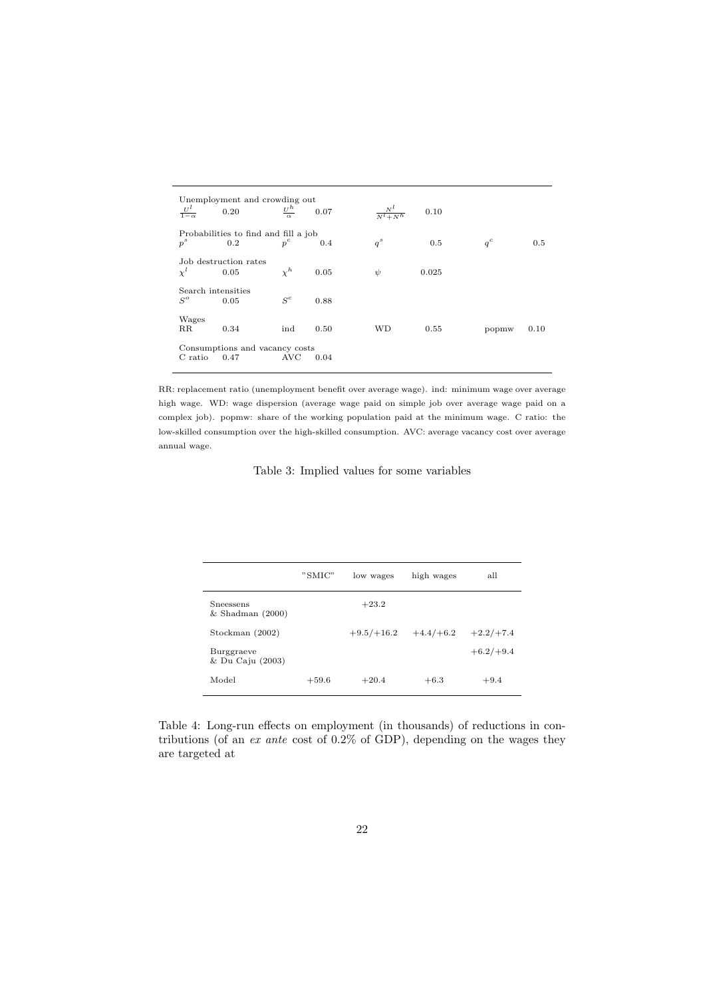| $\frac{U^l}{1-\alpha}$                                           | Unemployment and crowding out<br>0.20       | $\frac{U^h}{\alpha}$ | 0.07 | $\frac{N^l}{N^l+N^h}$ | 0.10  |       |      |
|------------------------------------------------------------------|---------------------------------------------|----------------------|------|-----------------------|-------|-------|------|
| $p^s$                                                            | Probabilities to find and fill a job<br>0.2 | $p^c$                | 0.4  | $q^s$                 | 0.5   | $q^c$ | 0.5  |
|                                                                  | Job destruction rates<br>0.05               | $\chi^h$             | 0.05 | $\psi$                | 0.025 |       |      |
| Search intensities<br>$S^o$                                      | 0.05                                        | $S^c$                | 0.88 |                       |       |       |      |
| Wages<br>$_{\rm RR}$                                             | 0.34                                        | ind                  | 0.50 | WD                    | 0.55  | popmw | 0.10 |
| Consumptions and vacancy costs<br>C ratio<br>0.47<br>AVC<br>0.04 |                                             |                      |      |                       |       |       |      |

RR: replacement ratio (unemployment benefit over average wage). ind: minimum wage over average high wage. WD: wage dispersion (average wage paid on simple job over average wage paid on a complex job). popmw: share of the working population paid at the minimum wage. C ratio: the low-skilled consumption over the high-skilled consumption. AVC: average vacancy cost over average annual wage.

#### Table 3: Implied values for some variables

|                                   | "SMIC"  | low wages    | high wages  | all         |
|-----------------------------------|---------|--------------|-------------|-------------|
| Sneessens<br>$&$ Shadman $(2000)$ |         | $+23.2$      |             |             |
| Stockman (2002)                   |         | $+9.5/+16.2$ | $+4.4/+6.2$ | $+2.2/+7.4$ |
| Burggraeve<br>& Du Caju (2003)    |         |              |             | $+6.2/+9.4$ |
| Model                             | $+59.6$ | $+20.4$      | $+6.3$      | $+9.4$      |

Table 4: Long-run effects on employment (in thousands) of reductions in contributions (of an ex ante cost of 0.2% of GDP), depending on the wages they are targeted at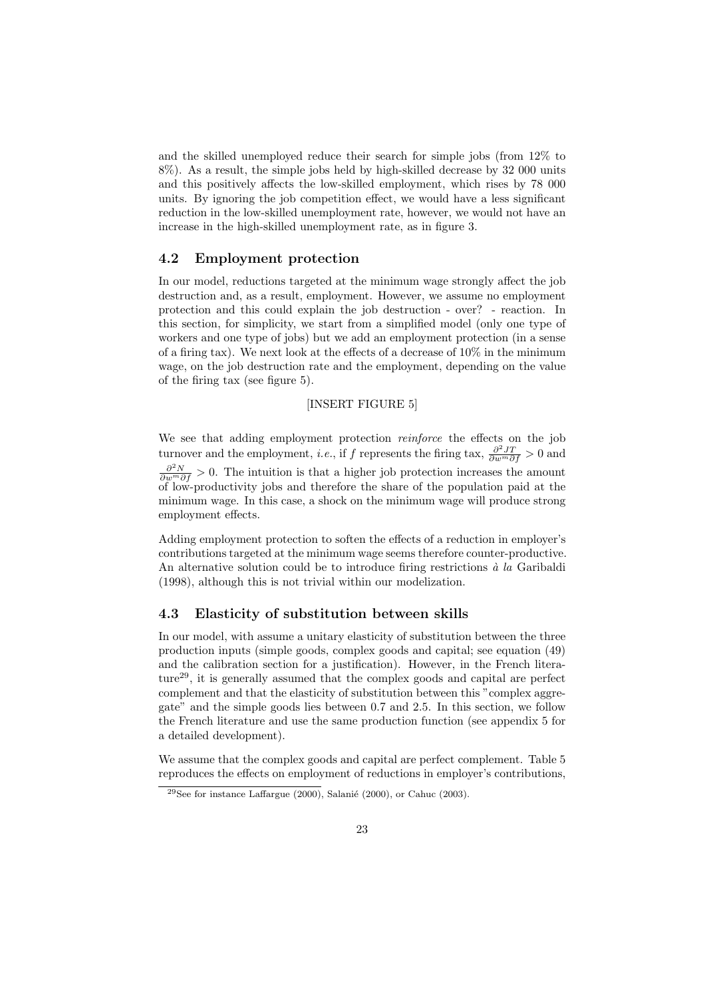and the skilled unemployed reduce their search for simple jobs (from 12% to 8%). As a result, the simple jobs held by high-skilled decrease by 32 000 units and this positively affects the low-skilled employment, which rises by 78 000 units. By ignoring the job competition effect, we would have a less significant reduction in the low-skilled unemployment rate, however, we would not have an increase in the high-skilled unemployment rate, as in figure 3.

#### 4.2 Employment protection

In our model, reductions targeted at the minimum wage strongly affect the job destruction and, as a result, employment. However, we assume no employment protection and this could explain the job destruction - over? - reaction. In this section, for simplicity, we start from a simplified model (only one type of workers and one type of jobs) but we add an employment protection (in a sense of a firing tax). We next look at the effects of a decrease of 10% in the minimum wage, on the job destruction rate and the employment, depending on the value of the firing tax (see figure 5).

#### [INSERT FIGURE 5]

We see that adding employment protection *reinforce* the effects on the job turnover and the employment, *i.e.*, if f represents the firing tax,  $\frac{\partial^2 JT}{\partial w^m \partial f} > 0$  and  $\frac{\partial^2 N}{\partial w^m \partial f} > 0$ . The intuition is that a higher job protection increases the amount of low-productivity jobs and therefore the share of the population paid at the minimum wage. In this case, a shock on the minimum wage will produce strong employment effects.

Adding employment protection to soften the effects of a reduction in employer's contributions targeted at the minimum wage seems therefore counter-productive. An alternative solution could be to introduce firing restrictions  $\dot{a}$  la Garibaldi (1998), although this is not trivial within our modelization.

#### 4.3 Elasticity of substitution between skills

In our model, with assume a unitary elasticity of substitution between the three production inputs (simple goods, complex goods and capital; see equation (49) and the calibration section for a justification). However, in the French literature<sup>29</sup>, it is generally assumed that the complex goods and capital are perfect complement and that the elasticity of substitution between this "complex aggregate" and the simple goods lies between 0.7 and 2.5. In this section, we follow the French literature and use the same production function (see appendix 5 for a detailed development).

We assume that the complex goods and capital are perfect complement. Table 5 reproduces the effects on employment of reductions in employer's contributions,

<sup>&</sup>lt;sup>29</sup>See for instance Laffargue (2000), Salanié (2000), or Cahuc (2003).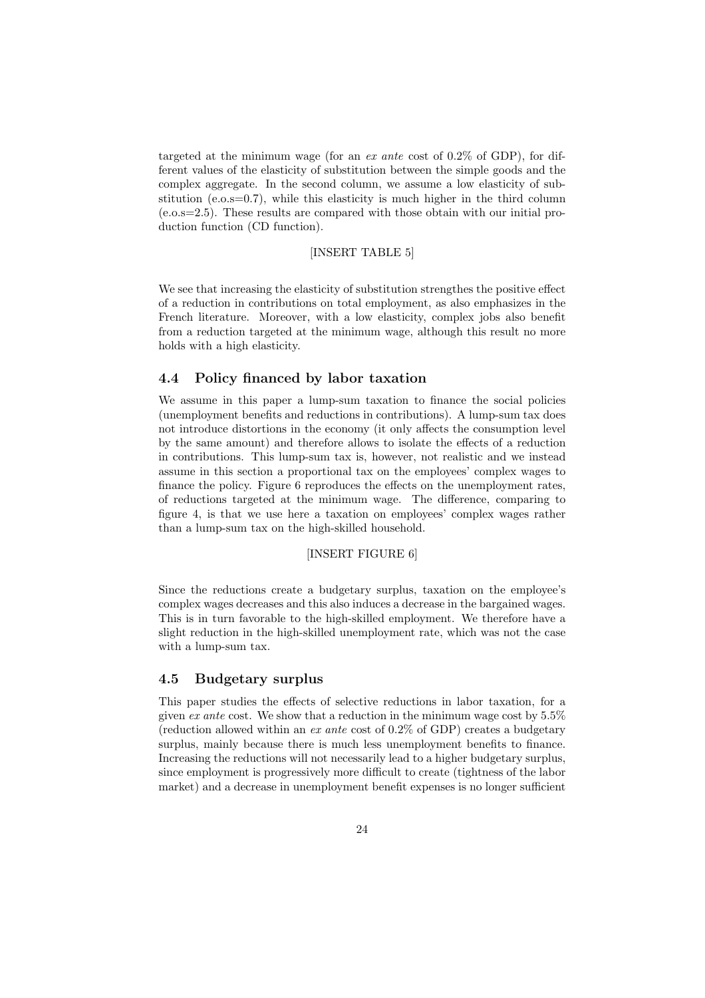targeted at the minimum wage (for an *ex ante* cost of  $0.2\%$  of GDP), for different values of the elasticity of substitution between the simple goods and the complex aggregate. In the second column, we assume a low elasticity of substitution (e.o.s=0.7), while this elasticity is much higher in the third column (e.o.s=2.5). These results are compared with those obtain with our initial production function (CD function).

#### [INSERT TABLE 5]

We see that increasing the elasticity of substitution strengthes the positive effect of a reduction in contributions on total employment, as also emphasizes in the French literature. Moreover, with a low elasticity, complex jobs also benefit from a reduction targeted at the minimum wage, although this result no more holds with a high elasticity.

#### 4.4 Policy financed by labor taxation

We assume in this paper a lump-sum taxation to finance the social policies (unemployment benefits and reductions in contributions). A lump-sum tax does not introduce distortions in the economy (it only affects the consumption level by the same amount) and therefore allows to isolate the effects of a reduction in contributions. This lump-sum tax is, however, not realistic and we instead assume in this section a proportional tax on the employees' complex wages to finance the policy. Figure 6 reproduces the effects on the unemployment rates, of reductions targeted at the minimum wage. The difference, comparing to figure 4, is that we use here a taxation on employees' complex wages rather than a lump-sum tax on the high-skilled household.

#### [INSERT FIGURE 6]

Since the reductions create a budgetary surplus, taxation on the employee's complex wages decreases and this also induces a decrease in the bargained wages. This is in turn favorable to the high-skilled employment. We therefore have a slight reduction in the high-skilled unemployment rate, which was not the case with a lump-sum tax.

#### 4.5 Budgetary surplus

This paper studies the effects of selective reductions in labor taxation, for a given ex ante cost. We show that a reduction in the minimum wage cost by  $5.5\%$ (reduction allowed within an ex ante cost of 0.2% of GDP) creates a budgetary surplus, mainly because there is much less unemployment benefits to finance. Increasing the reductions will not necessarily lead to a higher budgetary surplus, since employment is progressively more difficult to create (tightness of the labor market) and a decrease in unemployment benefit expenses is no longer sufficient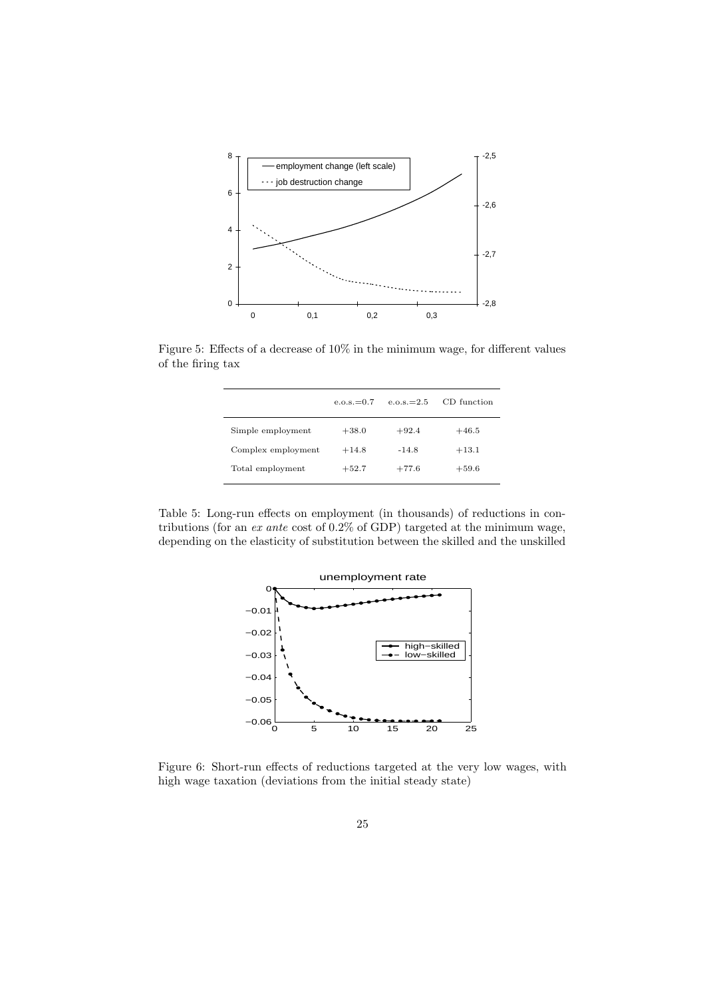

Figure 5: Effects of a decrease of 10% in the minimum wage, for different values of the firing tax

|                    | $e.o.s.=0.7$ | $e.o.s.=2.5$ | CD function |
|--------------------|--------------|--------------|-------------|
| Simple employment  | $+38.0$      | $+92.4$      | $+46.5$     |
| Complex employment | $+14.8$      | $-14.8$      | $+13.1$     |
| Total employment   | $+52.7$      | $+77.6$      | $+59.6$     |

Table 5: Long-run effects on employment (in thousands) of reductions in contributions (for an ex ante cost of 0.2% of GDP) targeted at the minimum wage, depending on the elasticity of substitution between the skilled and the unskilled



Figure 6: Short-run effects of reductions targeted at the very low wages, with high wage taxation (deviations from the initial steady state)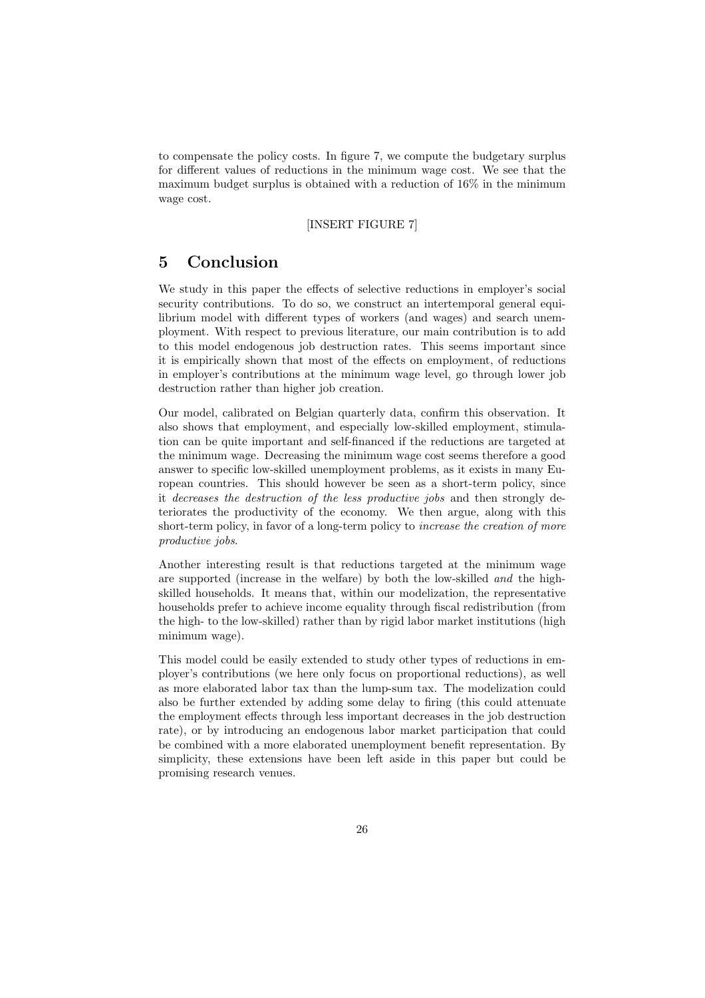to compensate the policy costs. In figure 7, we compute the budgetary surplus for different values of reductions in the minimum wage cost. We see that the maximum budget surplus is obtained with a reduction of 16% in the minimum wage cost.

#### [INSERT FIGURE 7]

## 5 Conclusion

We study in this paper the effects of selective reductions in employer's social security contributions. To do so, we construct an intertemporal general equilibrium model with different types of workers (and wages) and search unemployment. With respect to previous literature, our main contribution is to add to this model endogenous job destruction rates. This seems important since it is empirically shown that most of the effects on employment, of reductions in employer's contributions at the minimum wage level, go through lower job destruction rather than higher job creation.

Our model, calibrated on Belgian quarterly data, confirm this observation. It also shows that employment, and especially low-skilled employment, stimulation can be quite important and self-financed if the reductions are targeted at the minimum wage. Decreasing the minimum wage cost seems therefore a good answer to specific low-skilled unemployment problems, as it exists in many European countries. This should however be seen as a short-term policy, since it decreases the destruction of the less productive jobs and then strongly deteriorates the productivity of the economy. We then argue, along with this short-term policy, in favor of a long-term policy to increase the creation of more productive jobs.

Another interesting result is that reductions targeted at the minimum wage are supported (increase in the welfare) by both the low-skilled and the highskilled households. It means that, within our modelization, the representative households prefer to achieve income equality through fiscal redistribution (from the high- to the low-skilled) rather than by rigid labor market institutions (high minimum wage).

This model could be easily extended to study other types of reductions in employer's contributions (we here only focus on proportional reductions), as well as more elaborated labor tax than the lump-sum tax. The modelization could also be further extended by adding some delay to firing (this could attenuate the employment effects through less important decreases in the job destruction rate), or by introducing an endogenous labor market participation that could be combined with a more elaborated unemployment benefit representation. By simplicity, these extensions have been left aside in this paper but could be promising research venues.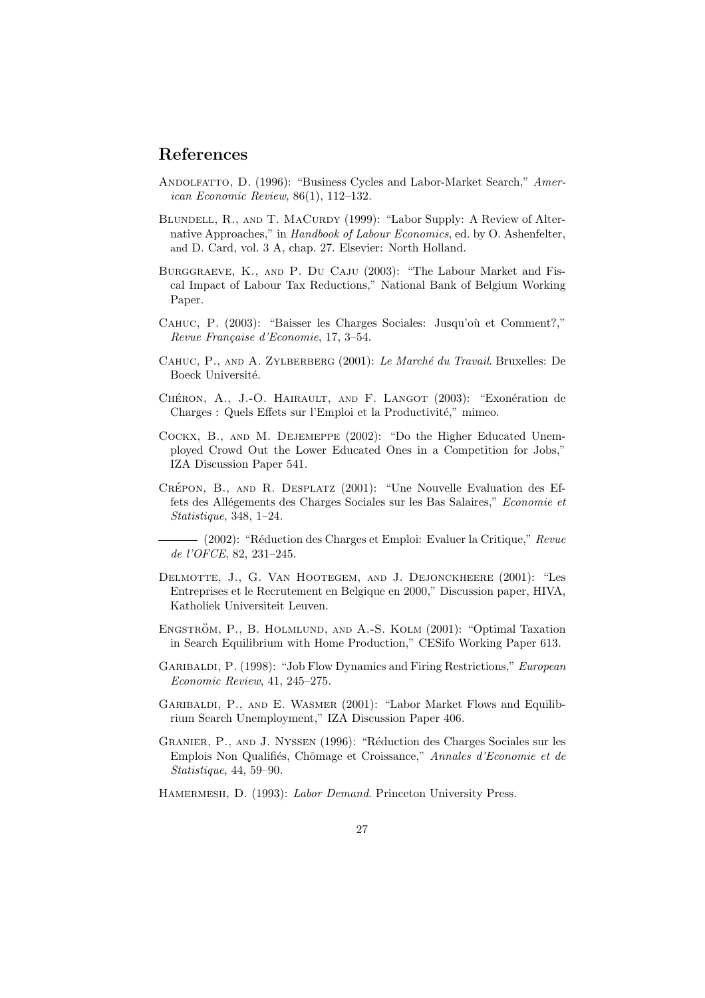## References

- ANDOLFATTO, D. (1996): "Business Cycles and Labor-Market Search," American Economic Review, 86(1), 112–132.
- BLUNDELL, R., AND T. MACURDY (1999): "Labor Supply: A Review of Alternative Approaches," in Handbook of Labour Economics, ed. by O. Ashenfelter, and D. Card, vol. 3 A, chap. 27. Elsevier: North Holland.
- Burggraeve, K., and P. Du Caju (2003): "The Labour Market and Fiscal Impact of Labour Tax Reductions," National Bank of Belgium Working Paper.
- CAHUC, P. (2003): "Baisser les Charges Sociales: Jusqu'où et Comment?," Revue Française d'Economie, 17, 3–54.
- CAHUC, P., AND A. ZYLBERBERG (2001): Le Marché du Travail. Bruxelles: De Boeck Université.
- CHÉRON, A., J.-O. HAIRAULT, AND F. LANGOT  $(2003)$ : "Exonération de Charges : Quels Effets sur l'Emploi et la Productivité," mimeo.
- Cockx, B., and M. Dejemeppe (2002): "Do the Higher Educated Unemployed Crowd Out the Lower Educated Ones in a Competition for Jobs," IZA Discussion Paper 541.
- CRÉPON, B., AND R. DESPLATZ (2001): "Une Nouvelle Evaluation des Effets des Allégements des Charges Sociales sur les Bas Salaires," Economie et Statistique, 348, 1–24.
- (2002): "Réduction des Charges et Emploi: Evaluer la Critique," Revue de l'OFCE, 82, 231–245.
- Delmotte, J., G. Van Hootegem, and J. Dejonckheere (2001): "Les Entreprises et le Recrutement en Belgique en 2000," Discussion paper, HIVA, Katholiek Universiteit Leuven.
- ENGSTRÖM, P., B. HOLMLUND, AND A.-S. KOLM (2001): "Optimal Taxation in Search Equilibrium with Home Production," CESifo Working Paper 613.
- GARIBALDI, P. (1998): "Job Flow Dynamics and Firing Restrictions," European Economic Review, 41, 245–275.
- GARIBALDI, P., AND E. WASMER (2001): "Labor Market Flows and Equilibrium Search Unemployment," IZA Discussion Paper 406.
- GRANIER, P., AND J. NYSSEN (1996): "Réduction des Charges Sociales sur les Emplois Non Qualifiés, Chômage et Croissance," Annales d'Economie et de Statistique, 44, 59–90.
- HAMERMESH, D. (1993): Labor Demand. Princeton University Press.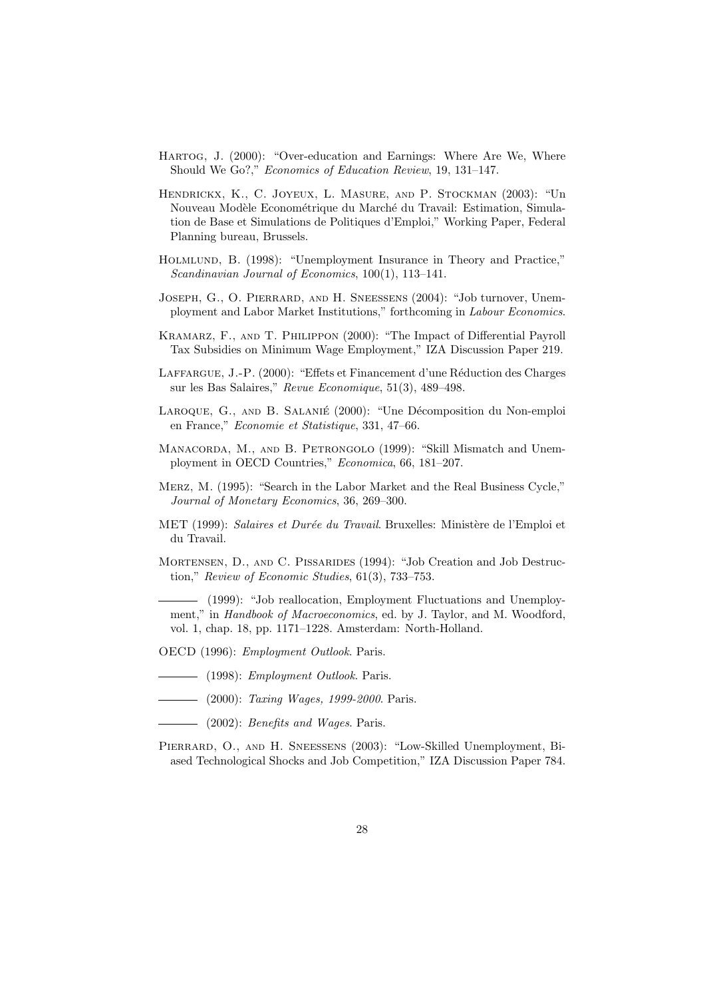- Hartog, J. (2000): "Over-education and Earnings: Where Are We, Where Should We Go?," Economics of Education Review, 19, 131–147.
- Hendrickx, K., C. Joyeux, L. Masure, and P. Stockman (2003): "Un Nouveau Modèle Econométrique du Marché du Travail: Estimation, Simulation de Base et Simulations de Politiques d'Emploi," Working Paper, Federal Planning bureau, Brussels.
- Holmlund, B. (1998): "Unemployment Insurance in Theory and Practice," Scandinavian Journal of Economics, 100(1), 113–141.
- JOSEPH, G., O. PIERRARD, AND H. SNEESSENS (2004): "Job turnover, Unemployment and Labor Market Institutions," forthcoming in Labour Economics.
- Kramarz, F., and T. Philippon (2000): "The Impact of Differential Payroll Tax Subsidies on Minimum Wage Employment," IZA Discussion Paper 219.
- LAFFARGUE, J.-P. (2000): "Effets et Financement d'une Réduction des Charges sur les Bas Salaires," Revue Economique, 51(3), 489–498.
- LAROQUE, G., AND B. SALANIÉ (2000): "Une Décomposition du Non-emploi en France," Economie et Statistique, 331, 47–66.
- MANACORDA, M., AND B. PETRONGOLO (1999): "Skill Mismatch and Unemployment in OECD Countries," Economica, 66, 181–207.
- Merz, M. (1995): "Search in the Labor Market and the Real Business Cycle," Journal of Monetary Economics, 36, 269–300.
- MET (1999): Salaires et Durée du Travail. Bruxelles: Ministère de l'Emploi et du Travail.
- Mortensen, D., and C. Pissarides (1994): "Job Creation and Job Destruction," Review of Economic Studies, 61(3), 733–753.

(1999): "Job reallocation, Employment Fluctuations and Unemployment," in Handbook of Macroeconomics, ed. by J. Taylor, and M. Woodford, vol. 1, chap. 18, pp. 1171–1228. Amsterdam: North-Holland.

- OECD (1996): Employment Outlook. Paris.
- $-$  (1998): *Employment Outlook*. Paris.
- $\frac{1}{2000}$ : *Taxing Wages, 1999-2000*. Paris.
- $\longrightarrow$  (2002): *Benefits and Wages*. Paris.
- PIERRARD, O., AND H. SNEESSENS (2003): "Low-Skilled Unemployment, Biased Technological Shocks and Job Competition," IZA Discussion Paper 784.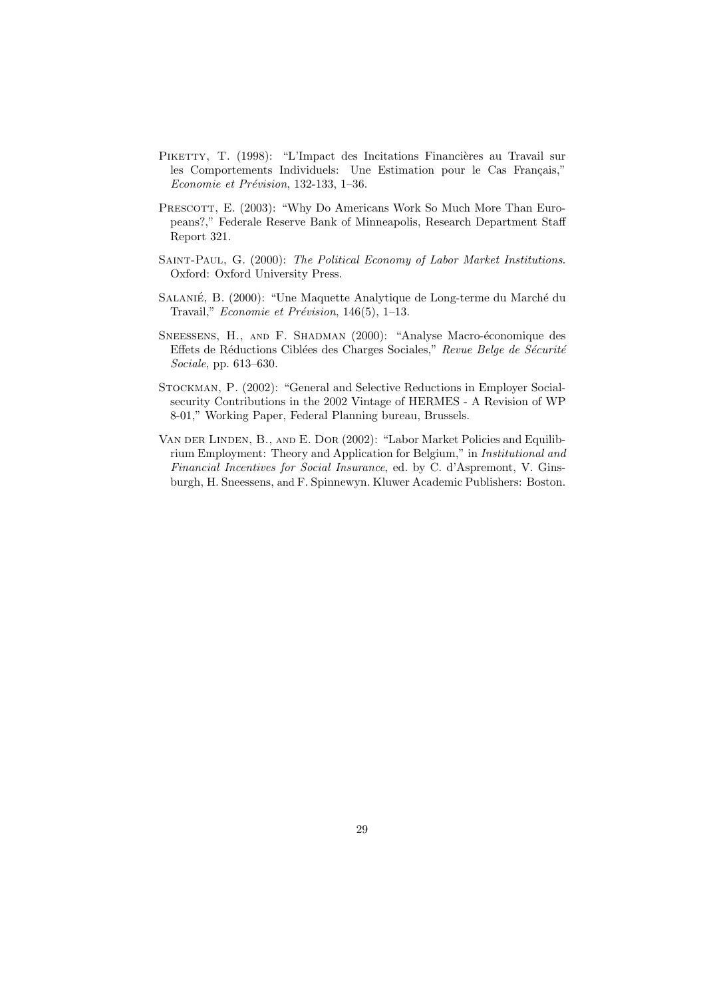- PIKETTY, T. (1998): "L'Impact des Incitations Financières au Travail sur les Comportements Individuels: Une Estimation pour le Cas Français," Economie et Prévision, 132-133, 1-36.
- PRESCOTT, E. (2003): "Why Do Americans Work So Much More Than Europeans?," Federale Reserve Bank of Minneapolis, Research Department Staff Report 321.
- Saint-Paul, G. (2000): The Political Economy of Labor Market Institutions. Oxford: Oxford University Press.
- SALANIÉ, B. (2000): "Une Maquette Analytique de Long-terme du Marché du Travail," Economie et Prévision, 146(5), 1–13.
- SNEESSENS, H., AND F. SHADMAN (2000): "Analyse Macro-économique des Effets de Réductions Ciblées des Charges Sociales," Revue Belge de Sécurité Sociale, pp. 613–630.
- Stockman, P. (2002): "General and Selective Reductions in Employer Socialsecurity Contributions in the 2002 Vintage of HERMES - A Revision of WP 8-01," Working Paper, Federal Planning bureau, Brussels.
- Van der Linden, B., and E. Dor (2002): "Labor Market Policies and Equilibrium Employment: Theory and Application for Belgium," in Institutional and Financial Incentives for Social Insurance, ed. by C. d'Aspremont, V. Ginsburgh, H. Sneessens, and F. Spinnewyn. Kluwer Academic Publishers: Boston.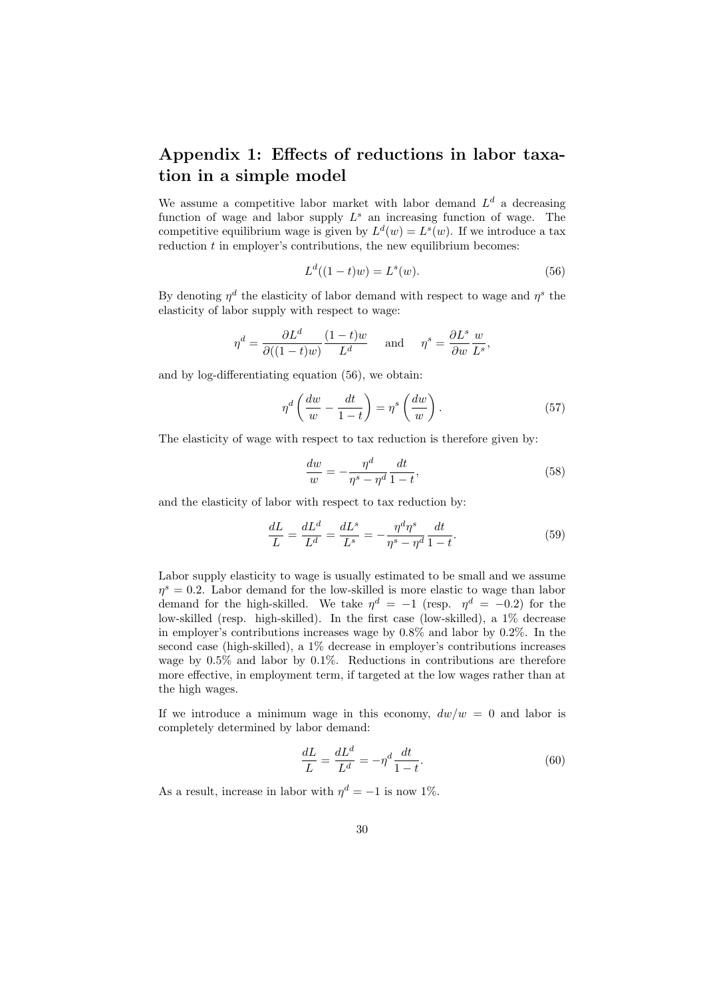## Appendix 1: Effects of reductions in labor taxation in a simple model

We assume a competitive labor market with labor demand  $L<sup>d</sup>$  a decreasing function of wage and labor supply  $L^s$  an increasing function of wage. The competitive equilibrium wage is given by  $L^d(w) = L^s(w)$ . If we introduce a tax reduction  $t$  in employer's contributions, the new equilibrium becomes:

$$
L^d((1-t)w) = L^s(w).
$$
\n(56)

By denoting  $\eta^d$  the elasticity of labor demand with respect to wage and  $\eta^s$  the elasticity of labor supply with respect to wage:

$$
\eta^d = \frac{\partial L^d}{\partial ((1-t)w)} \frac{(1-t)w}{L^d} \quad \text{and} \quad \eta^s = \frac{\partial L^s}{\partial w} \frac{w}{L^s},
$$

and by log-differentiating equation (56), we obtain:

$$
\eta^d \left( \frac{dw}{w} - \frac{dt}{1-t} \right) = \eta^s \left( \frac{dw}{w} \right). \tag{57}
$$

The elasticity of wage with respect to tax reduction is therefore given by:

$$
\frac{dw}{w} = -\frac{\eta^d}{\eta^s - \eta^d} \frac{dt}{1 - t},\tag{58}
$$

and the elasticity of labor with respect to tax reduction by:

$$
\frac{dL}{L} = \frac{dL^d}{L^d} = \frac{dL^s}{L^s} = -\frac{\eta^d \eta^s}{\eta^s - \eta^d} \frac{dt}{1 - t}.
$$
\n(59)

Labor supply elasticity to wage is usually estimated to be small and we assume  $\eta^s = 0.2$ . Labor demand for the low-skilled is more elastic to wage than labor demand for the high-skilled. We take  $\eta^d = -1$  (resp.  $\eta^d = -0.2$ ) for the low-skilled (resp. high-skilled). In the first case (low-skilled), a 1% decrease in employer's contributions increases wage by 0.8% and labor by 0.2%. In the second case (high-skilled), a 1% decrease in employer's contributions increases wage by 0.5% and labor by 0.1%. Reductions in contributions are therefore more effective, in employment term, if targeted at the low wages rather than at the high wages.

If we introduce a minimum wage in this economy,  $dw/w = 0$  and labor is completely determined by labor demand:

$$
\frac{dL}{L} = \frac{dL^d}{L^d} = -\eta^d \frac{dt}{1-t}.\tag{60}
$$

As a result, increase in labor with  $\eta^d = -1$  is now 1%.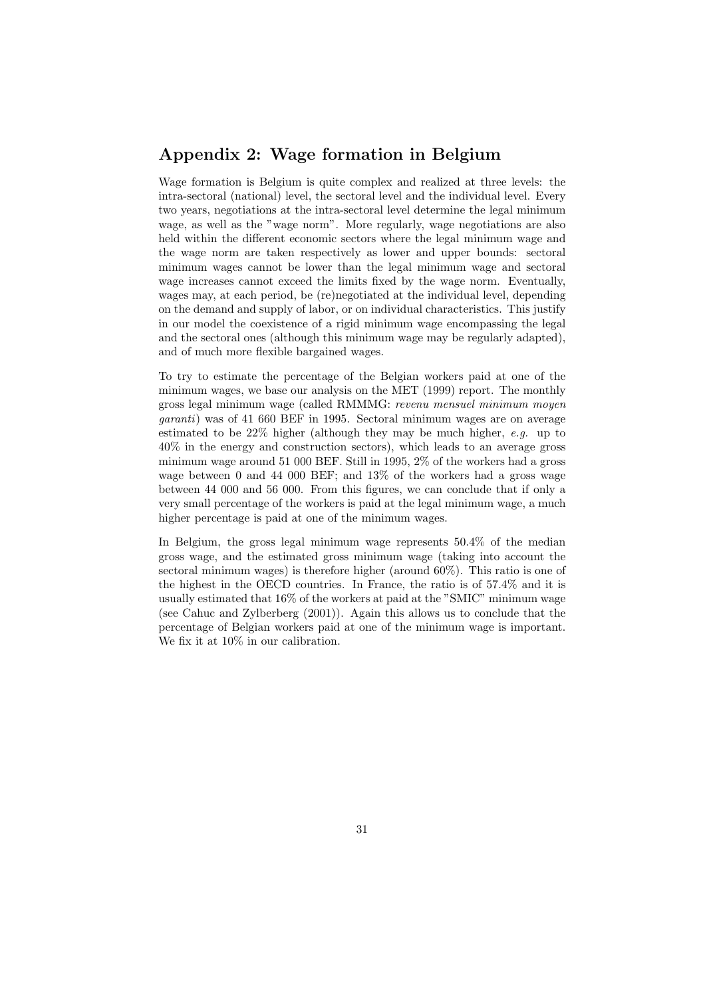## Appendix 2: Wage formation in Belgium

Wage formation is Belgium is quite complex and realized at three levels: the intra-sectoral (national) level, the sectoral level and the individual level. Every two years, negotiations at the intra-sectoral level determine the legal minimum wage, as well as the "wage norm". More regularly, wage negotiations are also held within the different economic sectors where the legal minimum wage and the wage norm are taken respectively as lower and upper bounds: sectoral minimum wages cannot be lower than the legal minimum wage and sectoral wage increases cannot exceed the limits fixed by the wage norm. Eventually, wages may, at each period, be (re)negotiated at the individual level, depending on the demand and supply of labor, or on individual characteristics. This justify in our model the coexistence of a rigid minimum wage encompassing the legal and the sectoral ones (although this minimum wage may be regularly adapted), and of much more flexible bargained wages.

To try to estimate the percentage of the Belgian workers paid at one of the minimum wages, we base our analysis on the MET (1999) report. The monthly gross legal minimum wage (called RMMMG: revenu mensuel minimum moyen garanti) was of 41 660 BEF in 1995. Sectoral minimum wages are on average estimated to be 22% higher (although they may be much higher, e.g. up to 40% in the energy and construction sectors), which leads to an average gross minimum wage around 51 000 BEF. Still in 1995, 2% of the workers had a gross wage between 0 and 44 000 BEF; and 13% of the workers had a gross wage between 44 000 and 56 000. From this figures, we can conclude that if only a very small percentage of the workers is paid at the legal minimum wage, a much higher percentage is paid at one of the minimum wages.

In Belgium, the gross legal minimum wage represents 50.4% of the median gross wage, and the estimated gross minimum wage (taking into account the sectoral minimum wages) is therefore higher (around 60%). This ratio is one of the highest in the OECD countries. In France, the ratio is of 57.4% and it is usually estimated that 16% of the workers at paid at the "SMIC" minimum wage (see Cahuc and Zylberberg (2001)). Again this allows us to conclude that the percentage of Belgian workers paid at one of the minimum wage is important. We fix it at 10% in our calibration.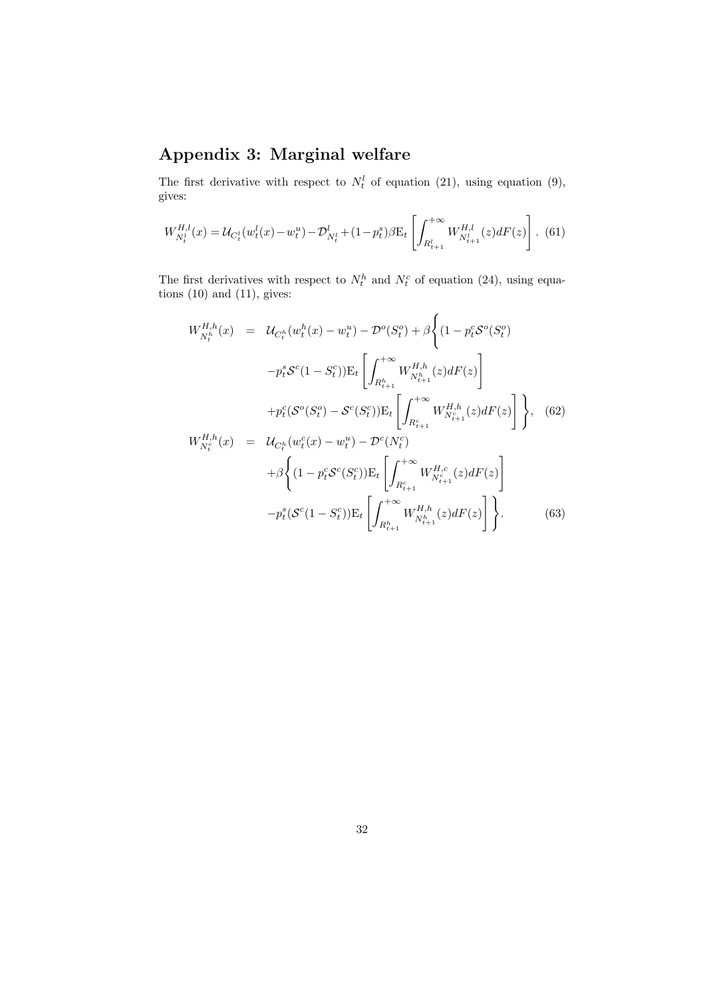# Appendix 3: Marginal welfare

The first derivative with respect to  $N_t^l$  of equation (21), using equation (9), gives:

$$
W_{N_t^l}^{H,l}(x) = \mathcal{U}_{C_t^l}(w_t^l(x) - w_t^u) - \mathcal{D}_{N_t^l}^l + (1 - p_t^s)\beta \mathcal{E}_t \left[ \int_{R_{t+1}^l}^{+\infty} W_{N_{t+1}^l}^{H,l}(z) dF(z) \right].
$$
 (61)

The first derivatives with respect to  $N_t^h$  and  $N_t^c$  of equation (24), using equations  $(10)$  and  $(11)$ , gives:

$$
W_{N_t^h}^{H,h}(x) = \mathcal{U}_{C_t^h}(w_t^h(x) - w_t^u) - \mathcal{D}^o(S_t^o) + \beta \left\{ (1 - p_t^c \mathcal{S}^o(S_t^o) - p_t^s \mathcal{S}^c(1 - S_t^c)) \mathbf{E}_t \left[ \int_{R_{t+1}^h}^{+\infty} W_{N_{t+1}^h}^{H,h}(z) dF(z) \right] \right. \\ \left. + p_t^c (\mathcal{S}^o(S_t^o) - \mathcal{S}^c(S_t^c)) \mathbf{E}_t \left[ \int_{R_{t+1}^c}^{+\infty} W_{N_{t+1}^h}^{H,h}(z) dF(z) \right] \right\}, \quad (62)
$$
  

$$
W_{N_t^e}^{H,h}(x) = \mathcal{U}_{C_t^h}(w_t^c(x) - w_t^u) - \mathcal{D}^c(N_t^c)
$$

$$
+ \beta \left\{ (1 - p_t^c \mathcal{S}^c(S_t^c)) \mathbf{E}_t \left[ \int_{R_{t+1}^c}^{+\infty} W_{N_{t+1}^h}^{H,c}(z) dF(z) \right] \right\}
$$

$$
- p_t^s (\mathcal{S}^c(1 - S_t^c)) \mathbf{E}_t \left[ \int_{R_{t+1}^h}^{+\infty} W_{N_{t+1}^h}^{H,h}(z) dF(z) \right] \right\}.
$$

$$
(63)
$$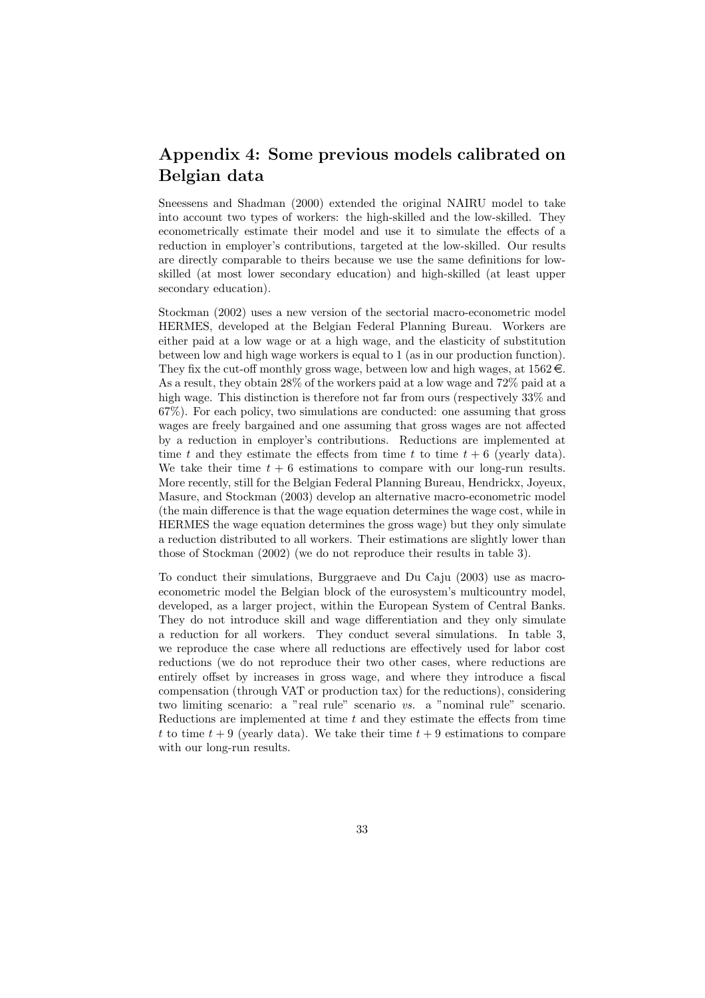## Appendix 4: Some previous models calibrated on Belgian data

Sneessens and Shadman (2000) extended the original NAIRU model to take into account two types of workers: the high-skilled and the low-skilled. They econometrically estimate their model and use it to simulate the effects of a reduction in employer's contributions, targeted at the low-skilled. Our results are directly comparable to theirs because we use the same definitions for lowskilled (at most lower secondary education) and high-skilled (at least upper secondary education).

Stockman (2002) uses a new version of the sectorial macro-econometric model HERMES, developed at the Belgian Federal Planning Bureau. Workers are either paid at a low wage or at a high wage, and the elasticity of substitution between low and high wage workers is equal to 1 (as in our production function). They fix the cut-off monthly gross wage, between low and high wages, at  $1562 \in$ . As a result, they obtain 28% of the workers paid at a low wage and 72% paid at a high wage. This distinction is therefore not far from ours (respectively 33% and 67%). For each policy, two simulations are conducted: one assuming that gross wages are freely bargained and one assuming that gross wages are not affected by a reduction in employer's contributions. Reductions are implemented at time t and they estimate the effects from time t to time  $t + 6$  (yearly data). We take their time  $t + 6$  estimations to compare with our long-run results. More recently, still for the Belgian Federal Planning Bureau, Hendrickx, Joyeux, Masure, and Stockman (2003) develop an alternative macro-econometric model (the main difference is that the wage equation determines the wage cost, while in HERMES the wage equation determines the gross wage) but they only simulate a reduction distributed to all workers. Their estimations are slightly lower than those of Stockman (2002) (we do not reproduce their results in table 3).

To conduct their simulations, Burggraeve and Du Caju (2003) use as macroeconometric model the Belgian block of the eurosystem's multicountry model, developed, as a larger project, within the European System of Central Banks. They do not introduce skill and wage differentiation and they only simulate a reduction for all workers. They conduct several simulations. In table 3, we reproduce the case where all reductions are effectively used for labor cost reductions (we do not reproduce their two other cases, where reductions are entirely offset by increases in gross wage, and where they introduce a fiscal compensation (through VAT or production tax) for the reductions), considering two limiting scenario: a "real rule" scenario vs. a "nominal rule" scenario. Reductions are implemented at time  $t$  and they estimate the effects from time t to time  $t + 9$  (yearly data). We take their time  $t + 9$  estimations to compare with our long-run results.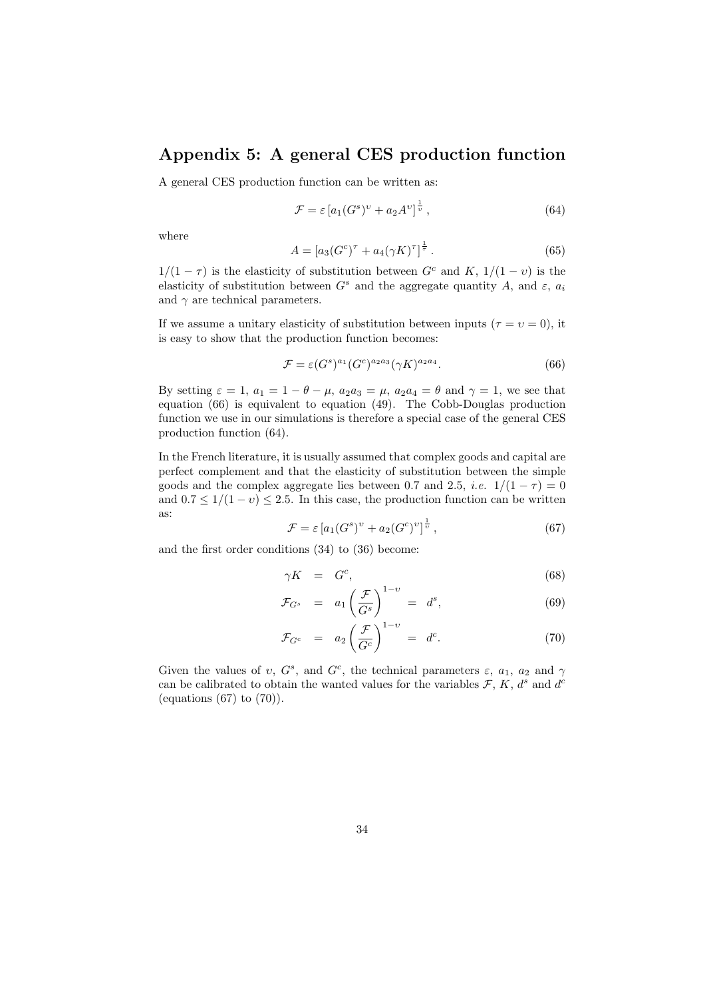## Appendix 5: A general CES production function

A general CES production function can be written as:

$$
\mathcal{F} = \varepsilon \left[ a_1 (G^s)^v + a_2 A^v \right]^{\frac{1}{v}},\tag{64}
$$

where

$$
A = [a_3(G^c)^{\tau} + a_4(\gamma K)^{\tau}]^{\frac{1}{\tau}}.
$$
\n(65)

 $1/(1 - \tau)$  is the elasticity of substitution between  $G<sup>c</sup>$  and  $K$ ,  $1/(1 - v)$  is the elasticity of substitution between  $G<sup>s</sup>$  and the aggregate quantity A, and  $\varepsilon$ ,  $a_i$ and  $\gamma$  are technical parameters.

If we assume a unitary elasticity of substitution between inputs ( $\tau = v = 0$ ), it is easy to show that the production function becomes:

$$
\mathcal{F} = \varepsilon (G^s)^{a_1} (G^c)^{a_2 a_3} (\gamma K)^{a_2 a_4}.\tag{66}
$$

By setting  $\varepsilon = 1$ ,  $a_1 = 1 - \theta - \mu$ ,  $a_2 a_3 = \mu$ ,  $a_2 a_4 = \theta$  and  $\gamma = 1$ , we see that equation (66) is equivalent to equation (49). The Cobb-Douglas production function we use in our simulations is therefore a special case of the general CES production function (64).

In the French literature, it is usually assumed that complex goods and capital are perfect complement and that the elasticity of substitution between the simple goods and the complex aggregate lies between 0.7 and 2.5, *i.e.*  $1/(1 - \tau) = 0$ and  $0.7 \leq 1/(1-v) \leq 2.5$ . In this case, the production function can be written as:

$$
\mathcal{F} = \varepsilon \left[ a_1 (G^s)^v + a_2 (G^c)^v \right]^{\frac{1}{v}},\tag{67}
$$

and the first order conditions (34) to (36) become:

$$
\gamma K = G^c,\tag{68}
$$

$$
\mathcal{F}_{G^s} = a_1 \left( \frac{\mathcal{F}}{G^s} \right)^{1-v} = d^s, \tag{69}
$$

$$
\mathcal{F}_{G^c} = a_2 \left(\frac{\mathcal{F}}{G^c}\right)^{1-v} = d^c.
$$
 (70)

Given the values of v,  $G^s$ , and  $G^c$ , the technical parameters  $\varepsilon$ ,  $a_1$ ,  $a_2$  and  $\gamma$ can be calibrated to obtain the wanted values for the variables  $\mathcal{F}, K, d^s$  and  $d^c$ (equations  $(67)$  to  $(70)$ ).